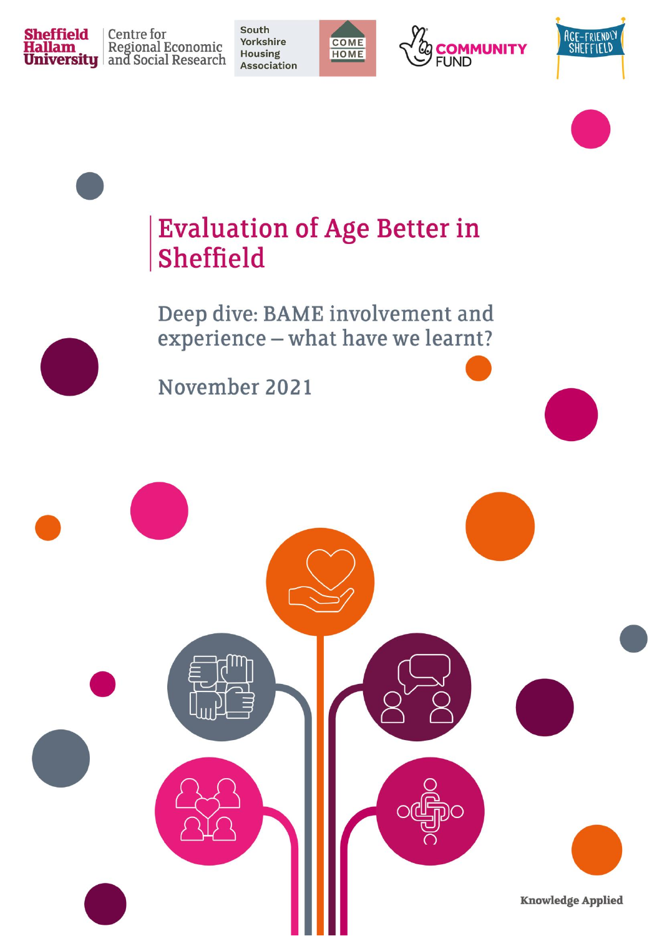

Centre for **Hallam** Regional Economic<br>**University** and Social Research

South **Yorkshire Housing Association** 









## **Evaluation of Age Better in Sheffield**

Deep dive: BAME involvement and experience - what have we learnt?

November 2021

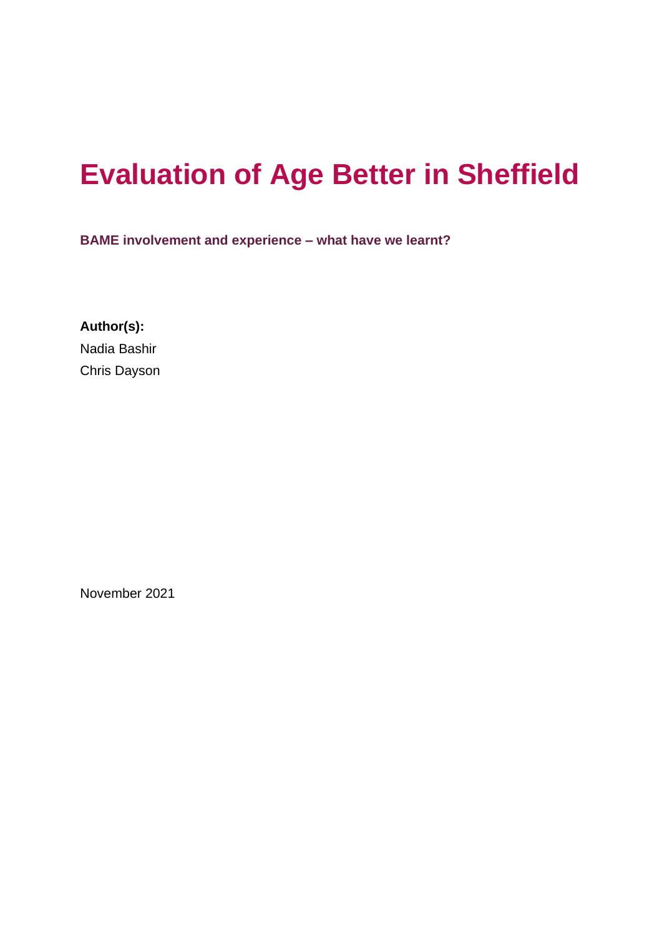## **Evaluation of Age Better in Sheffield**

**BAME involvement and experience – what have we learnt?**

**Author(s):** Nadia Bashir Chris Dayson

November 2021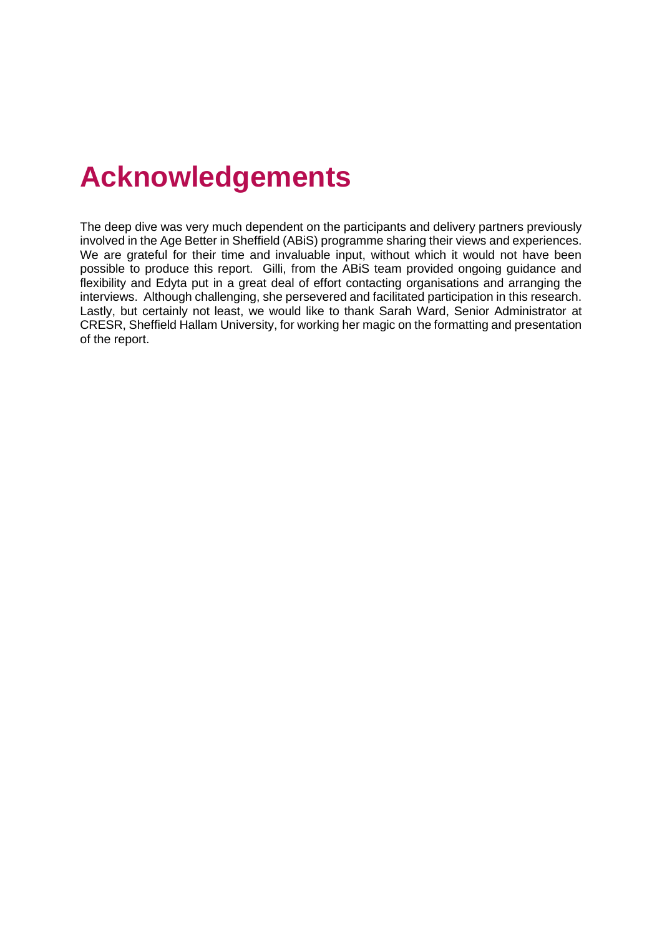## **Acknowledgements**

The deep dive was very much dependent on the participants and delivery partners previously involved in the Age Better in Sheffield (ABiS) programme sharing their views and experiences. We are grateful for their time and invaluable input, without which it would not have been possible to produce this report. Gilli, from the ABiS team provided ongoing guidance and flexibility and Edyta put in a great deal of effort contacting organisations and arranging the interviews. Although challenging, she persevered and facilitated participation in this research. Lastly, but certainly not least, we would like to thank Sarah Ward, Senior Administrator at CRESR, Sheffield Hallam University, for working her magic on the formatting and presentation of the report.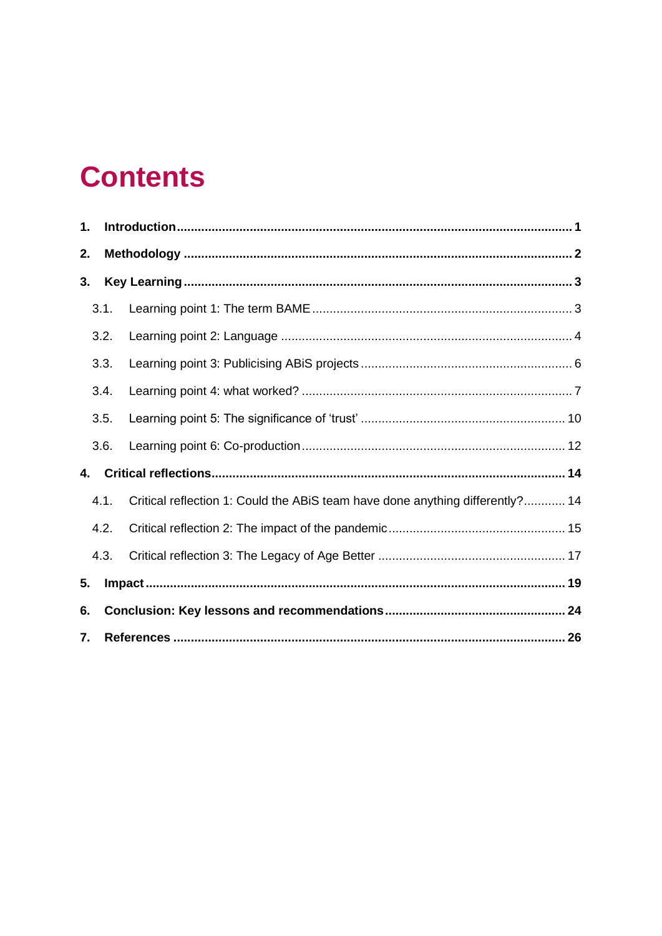## **Contents**

| 1. |      |                                                                               |  |
|----|------|-------------------------------------------------------------------------------|--|
| 2. |      |                                                                               |  |
| 3. |      |                                                                               |  |
|    | 3.1. |                                                                               |  |
|    | 3.2. |                                                                               |  |
|    | 3.3. |                                                                               |  |
|    | 3.4. |                                                                               |  |
|    | 3.5. |                                                                               |  |
|    | 3.6. |                                                                               |  |
| 4. |      |                                                                               |  |
|    | 4.1. | Critical reflection 1: Could the ABiS team have done anything differently? 14 |  |
|    | 4.2. |                                                                               |  |
|    | 4.3. |                                                                               |  |
| 5. |      |                                                                               |  |
| 6. |      |                                                                               |  |
| 7. |      |                                                                               |  |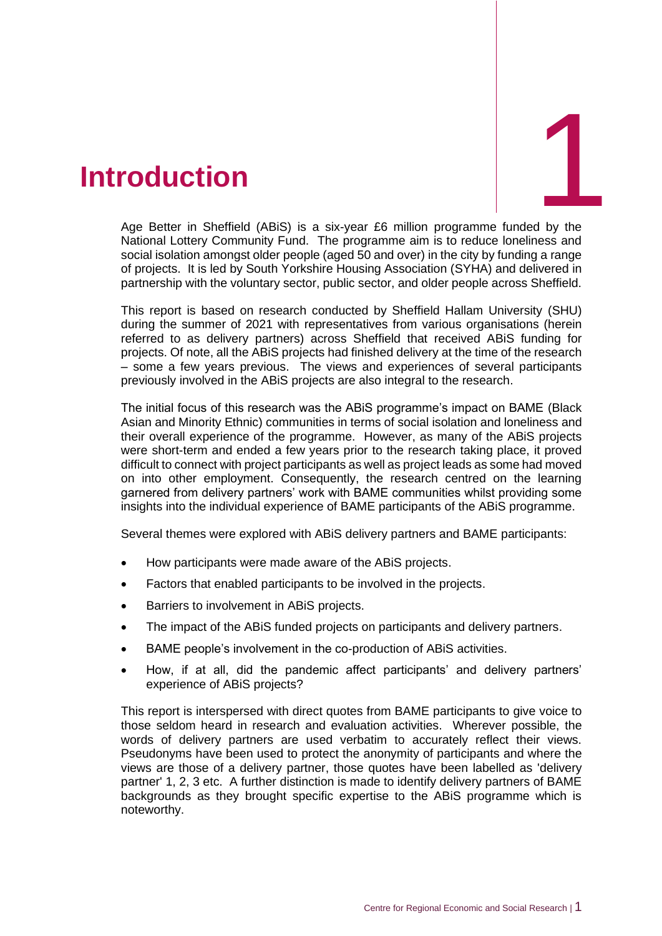# d by the

## <span id="page-4-0"></span>1. **Introduction**

Age Better in Sheffield (ABiS) is a six-year £6 million programme funded by the National Lottery Community Fund. The programme aim is to reduce loneliness and social isolation amongst older people (aged 50 and over) in the city by funding a range of projects. It is led by South Yorkshire Housing Association (SYHA) and delivered in partnership with the voluntary sector, public sector, and older people across Sheffield.

This report is based on research conducted by Sheffield Hallam University (SHU) during the summer of 2021 with representatives from various organisations (herein referred to as delivery partners) across Sheffield that received ABiS funding for projects. Of note, all the ABiS projects had finished delivery at the time of the research – some a few years previous. The views and experiences of several participants previously involved in the ABiS projects are also integral to the research.

The initial focus of this research was the ABiS programme's impact on BAME (Black Asian and Minority Ethnic) communities in terms of social isolation and loneliness and their overall experience of the programme. However, as many of the ABiS projects were short-term and ended a few years prior to the research taking place, it proved difficult to connect with project participants as well as project leads as some had moved on into other employment. Consequently, the research centred on the learning garnered from delivery partners' work with BAME communities whilst providing some insights into the individual experience of BAME participants of the ABiS programme.

Several themes were explored with ABiS delivery partners and BAME participants:

- How participants were made aware of the ABiS projects.
- Factors that enabled participants to be involved in the projects.
- Barriers to involvement in ABiS projects.
- The impact of the ABiS funded projects on participants and delivery partners.
- BAME people's involvement in the co-production of ABiS activities.
- How, if at all, did the pandemic affect participants' and delivery partners' experience of ABiS projects?

This report is interspersed with direct quotes from BAME participants to give voice to those seldom heard in research and evaluation activities. Wherever possible, the words of delivery partners are used verbatim to accurately reflect their views. Pseudonyms have been used to protect the anonymity of participants and where the views are those of a delivery partner, those quotes have been labelled as 'delivery partner' 1, 2, 3 etc. A further distinction is made to identify delivery partners of BAME backgrounds as they brought specific expertise to the ABiS programme which is noteworthy.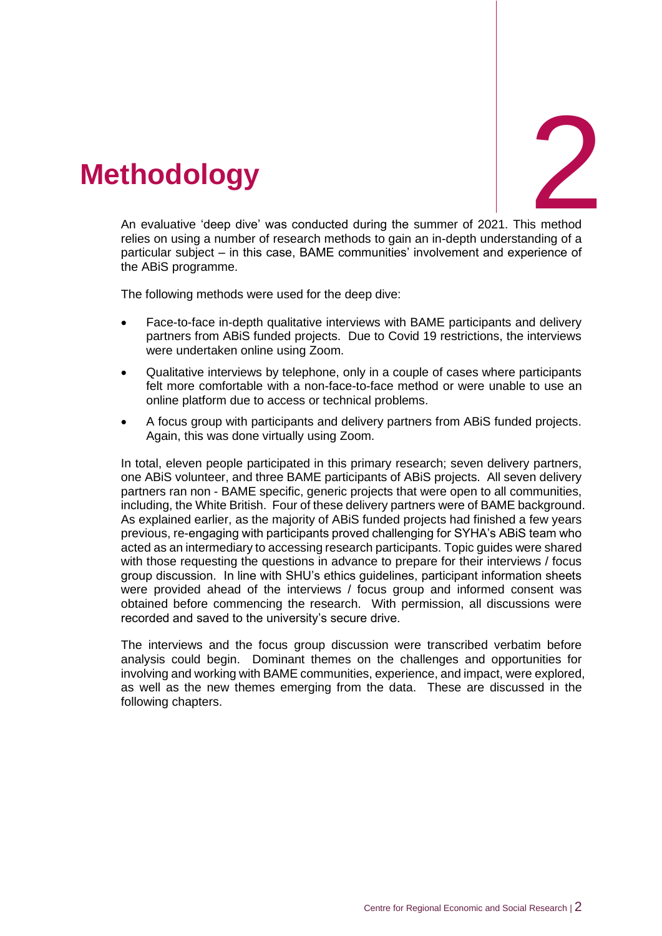

## <span id="page-5-0"></span>2. **Methodology**

A n evaluative 'deep dive' was conducted during the summer of 2021. This method relies on using a number of research methods to gain an in-depth understanding of a particular subject – in this case, BAME communities' involvement and experience of the ABiS programme.

The following methods were used for the deep dive:

- Face-to-face in-depth qualitative interviews with BAME participants and delivery partners from ABiS funded projects. Due to Covid 19 restrictions, the interviews were undertaken online using Zoom.
- Qualitative interviews by telephone, only in a couple of cases where participants felt more comfortable with a non-face-to-face method or were unable to use an online platform due to access or technical problems.
- A focus group with participants and delivery partners from ABiS funded projects. Again, this was done virtually using Zoom.

In total, eleven people participated in this primary research; seven delivery partners, one ABiS volunteer, and three BAME participants of ABiS projects. All seven delivery partners ran non - BAME specific, generic projects that were open to all communities, including, the White British. Four of these delivery partners were of BAME background. As explained earlier, as the majority of ABiS funded projects had finished a few years previous, re-engaging with participants proved challenging for SYHA's ABiS team who acted as an intermediary to accessing research participants. Topic guides were shared with those requesting the questions in advance to prepare for their interviews / focus group discussion. In line with SHU's ethics guidelines, participant information sheets were provided ahead of the interviews / focus group and informed consent was obtained before commencing the research. With permission, all discussions were recorded and saved to the university's secure drive.

The interviews and the focus group discussion were transcribed verbatim before analysis could begin. Dominant themes on the challenges and opportunities for involving and working with BAME communities, experience, and impact, were explored, as well as the new themes emerging from the data. These are discussed in the following chapters.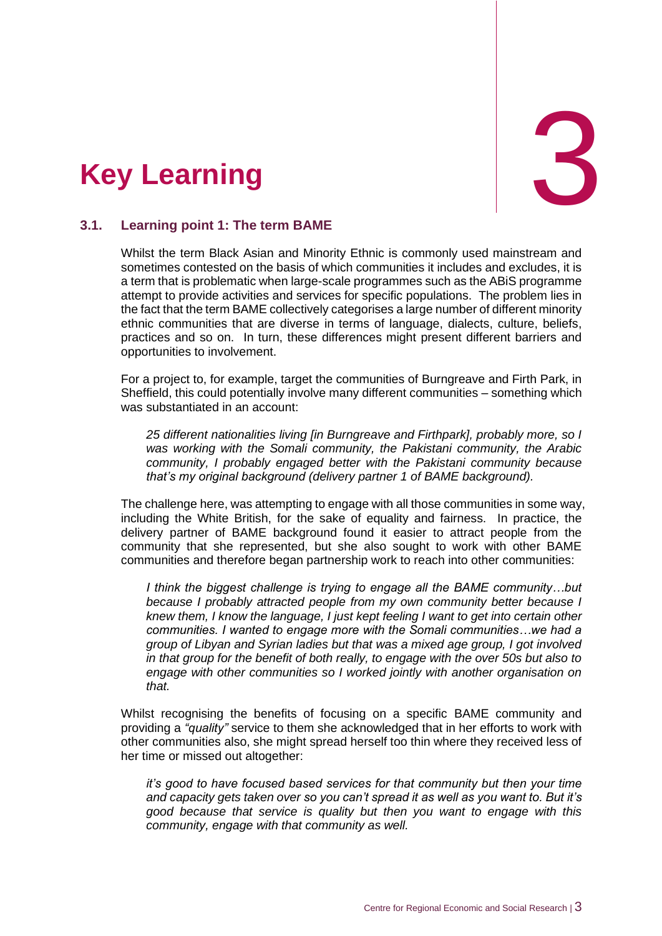<span id="page-6-0"></span>



#### <span id="page-6-1"></span>**3.1. Learning point 1: The term BAME**

Whilst the term Black Asian and Minority Ethnic is commonly used mainstream and sometimes contested on the basis of which communities it includes and excludes, it is a term that is problematic when large-scale programmes such as the ABiS programme attempt to provide activities and services for specific populations. The problem lies in the fact that the term BAME collectively categorises a large number of different minority ethnic communities that are diverse in terms of language, dialects, culture, beliefs, practices and so on. In turn, these differences might present different barriers and opportunities to involvement.

For a project to, for example, target the communities of Burngreave and Firth Park, in Sheffield, this could potentially involve many different communities – something which was substantiated in an account:

*25 different nationalities living [in Burngreave and Firthpark], probably more, so I was working with the Somali community, the Pakistani community, the Arabic community, I probably engaged better with the Pakistani community because that's my original background (delivery partner 1 of BAME background).*

The challenge here, was attempting to engage with all those communities in some way, including the White British, for the sake of equality and fairness. In practice, the delivery partner of BAME background found it easier to attract people from the community that she represented, but she also sought to work with other BAME communities and therefore began partnership work to reach into other communities:

*I think the biggest challenge is trying to engage all the BAME community…but because I probably attracted people from my own community better because I knew them, I know the language, I just kept feeling I want to get into certain other communities. I wanted to engage more with the Somali communities…we had a group of Libyan and Syrian ladies but that was a mixed age group, I got involved in that group for the benefit of both really, to engage with the over 50s but also to engage with other communities so I worked jointly with another organisation on that.* 

Whilst recognising the benefits of focusing on a specific BAME community and providing a *"quality"* service to them she acknowledged that in her efforts to work with other communities also, she might spread herself too thin where they received less of her time or missed out altogether:

*it's good to have focused based services for that community but then your time and capacity gets taken over so you can't spread it as well as you want to. But it's good because that service is quality but then you want to engage with this community, engage with that community as well.*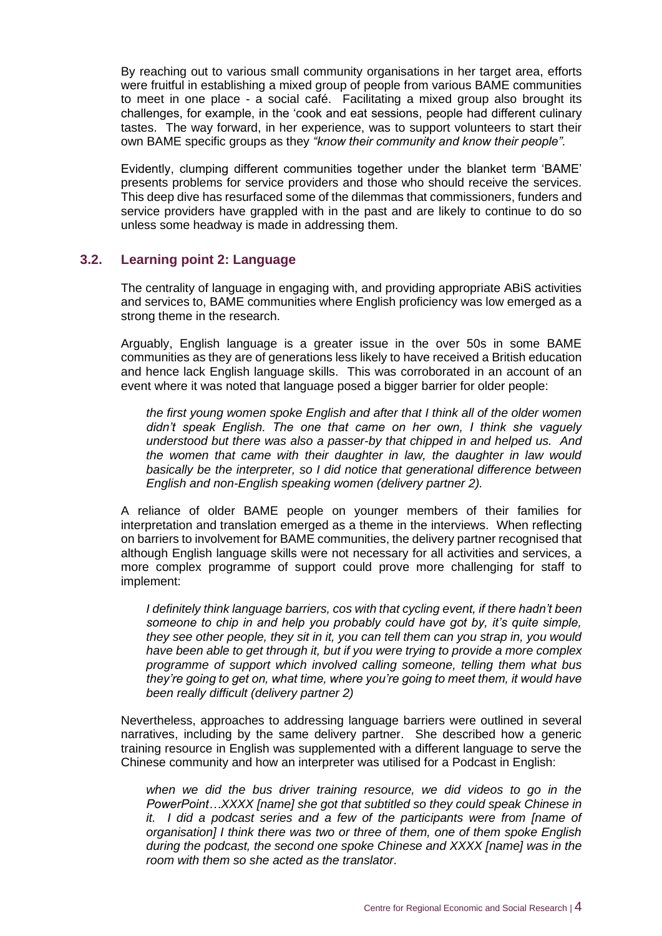By reaching out to various small community organisations in her target area, efforts were fruitful in establishing a mixed group of people from various BAME communities to meet in one place - a social café. Facilitating a mixed group also brought its challenges, for example, in the 'cook and eat sessions, people had different culinary tastes. The way forward, in her experience, was to support volunteers to start their own BAME specific groups as they *"know their community and know their people".*

Evidently, clumping different communities together under the blanket term 'BAME' presents problems for service providers and those who should receive the services. This deep dive has resurfaced some of the dilemmas that commissioners, funders and service providers have grappled with in the past and are likely to continue to do so unless some headway is made in addressing them.

#### <span id="page-7-0"></span>**3.2. Learning point 2: Language**

The centrality of language in engaging with, and providing appropriate ABiS activities and services to, BAME communities where English proficiency was low emerged as a strong theme in the research.

Arguably, English language is a greater issue in the over 50s in some BAME communities as they are of generations less likely to have received a British education and hence lack English language skills. This was corroborated in an account of an event where it was noted that language posed a bigger barrier for older people:

*the first young women spoke English and after that I think all of the older women didn't speak English. The one that came on her own, I think she vaguely understood but there was also a passer-by that chipped in and helped us. And the women that came with their daughter in law, the daughter in law would basically be the interpreter, so I did notice that generational difference between English and non-English speaking women (delivery partner 2).*

A reliance of older BAME people on younger members of their families for interpretation and translation emerged as a theme in the interviews. When reflecting on barriers to involvement for BAME communities, the delivery partner recognised that although English language skills were not necessary for all activities and services, a more complex programme of support could prove more challenging for staff to implement:

*I definitely think language barriers, cos with that cycling event, if there hadn't been someone to chip in and help you probably could have got by, it's quite simple, they see other people, they sit in it, you can tell them can you strap in, you would have been able to get through it, but if you were trying to provide a more complex programme of support which involved calling someone, telling them what bus they're going to get on, what time, where you're going to meet them, it would have been really difficult (delivery partner 2)*

Nevertheless, approaches to addressing language barriers were outlined in several narratives, including by the same delivery partner. She described how a generic training resource in English was supplemented with a different language to serve the Chinese community and how an interpreter was utilised for a Podcast in English:

*when we did the bus driver training resource, we did videos to go in the PowerPoint…XXXX [name] she got that subtitled so they could speak Chinese in it. I did a podcast series and a few of the participants were from [name of organisation] I think there was two or three of them, one of them spoke English during the podcast, the second one spoke Chinese and XXXX [name] was in the room with them so she acted as the translator.*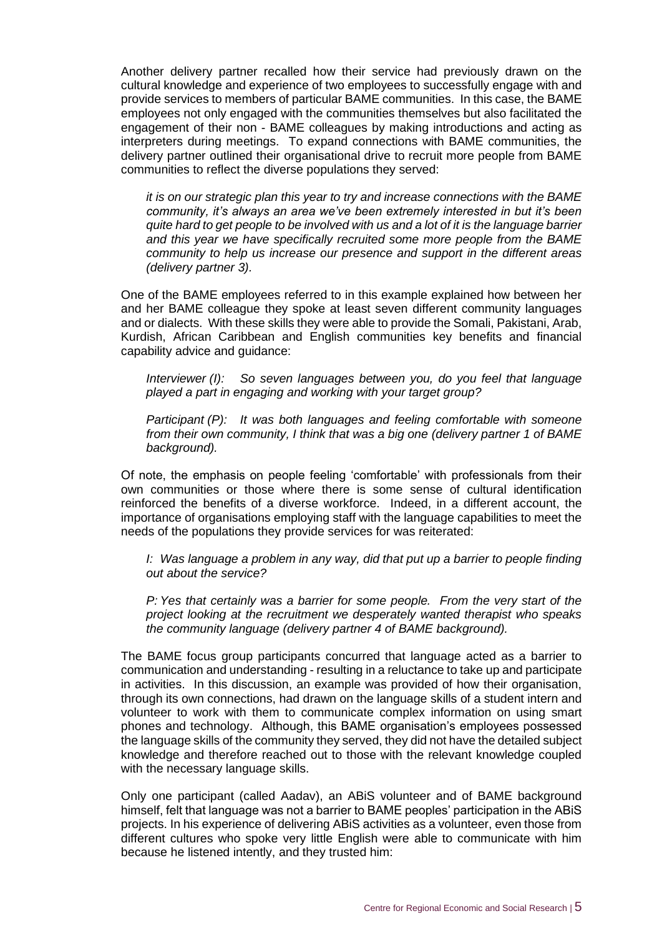Another delivery partner recalled how their service had previously drawn on the cultural knowledge and experience of two employees to successfully engage with and provide services to members of particular BAME communities. In this case, the BAME employees not only engaged with the communities themselves but also facilitated the engagement of their non - BAME colleagues by making introductions and acting as interpreters during meetings. To expand connections with BAME communities, the delivery partner outlined their organisational drive to recruit more people from BAME communities to reflect the diverse populations they served:

*it is on our strategic plan this year to try and increase connections with the BAME community, it's always an area we've been extremely interested in but it's been quite hard to get people to be involved with us and a lot of it is the language barrier and this year we have specifically recruited some more people from the BAME community to help us increase our presence and support in the different areas (delivery partner 3).*

One of the BAME employees referred to in this example explained how between her and her BAME colleague they spoke at least seven different community languages and or dialects. With these skills they were able to provide the Somali, Pakistani, Arab, Kurdish, African Caribbean and English communities key benefits and financial capability advice and guidance:

*Interviewer (I): So seven languages between you, do you feel that language played a part in engaging and working with your target group?*

*Participant (P): It was both languages and feeling comfortable with someone from their own community, I think that was a big one (delivery partner 1 of BAME background).*

Of note, the emphasis on people feeling 'comfortable' with professionals from their own communities or those where there is some sense of cultural identification reinforced the benefits of a diverse workforce. Indeed, in a different account, the importance of organisations employing staff with the language capabilities to meet the needs of the populations they provide services for was reiterated:

*I:* Was language a problem in any way, did that put up a barrier to people finding *out about the service?*

*P: Yes that certainly was a barrier for some people. From the very start of the project looking at the recruitment we desperately wanted therapist who speaks the community language (delivery partner 4 of BAME background).*

The BAME focus group participants concurred that language acted as a barrier to communication and understanding - resulting in a reluctance to take up and participate in activities. In this discussion, an example was provided of how their organisation, through its own connections, had drawn on the language skills of a student intern and volunteer to work with them to communicate complex information on using smart phones and technology. Although, this BAME organisation's employees possessed the language skills of the community they served, they did not have the detailed subject knowledge and therefore reached out to those with the relevant knowledge coupled with the necessary language skills.

Only one participant (called Aadav), an ABiS volunteer and of BAME background himself, felt that language was not a barrier to BAME peoples' participation in the ABiS projects. In his experience of delivering ABiS activities as a volunteer, even those from different cultures who spoke very little English were able to communicate with him because he listened intently, and they trusted him: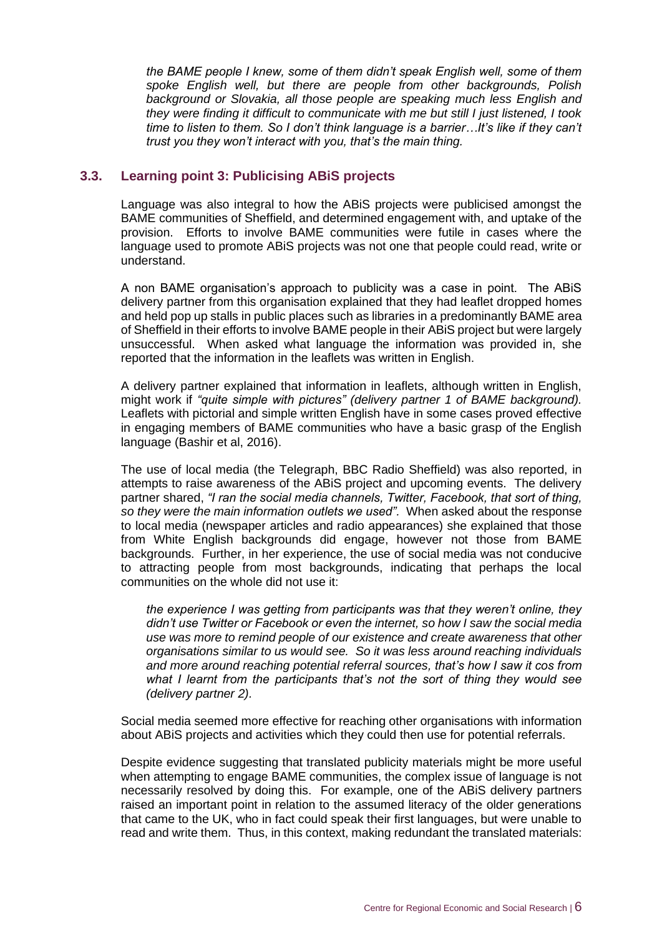*the BAME people I knew, some of them didn't speak English well, some of them spoke English well, but there are people from other backgrounds, Polish background or Slovakia, all those people are speaking much less English and they were finding it difficult to communicate with me but still I just listened, I took time to listen to them. So I don't think language is a barrier…It's like if they can't trust you they won't interact with you, that's the main thing.*

#### <span id="page-9-0"></span>**3.3. Learning point 3: Publicising ABiS projects**

Language was also integral to how the ABiS projects were publicised amongst the BAME communities of Sheffield, and determined engagement with, and uptake of the provision. Efforts to involve BAME communities were futile in cases where the language used to promote ABiS projects was not one that people could read, write or understand.

A non BAME organisation's approach to publicity was a case in point. The ABiS delivery partner from this organisation explained that they had leaflet dropped homes and held pop up stalls in public places such as libraries in a predominantly BAME area of Sheffield in their efforts to involve BAME people in their ABiS project but were largely unsuccessful. When asked what language the information was provided in, she reported that the information in the leaflets was written in English.

A delivery partner explained that information in leaflets, although written in English, might work if *"quite simple with pictures" (delivery partner 1 of BAME background).* Leaflets with pictorial and simple written English have in some cases proved effective in engaging members of BAME communities who have a basic grasp of the English language (Bashir et al, 2016).

The use of local media (the Telegraph, BBC Radio Sheffield) was also reported, in attempts to raise awareness of the ABiS project and upcoming events. The delivery partner shared, *"I ran the social media channels, Twitter, Facebook, that sort of thing, so they were the main information outlets we used".* When asked about the response to local media (newspaper articles and radio appearances) she explained that those from White English backgrounds did engage, however not those from BAME backgrounds. Further, in her experience, the use of social media was not conducive to attracting people from most backgrounds, indicating that perhaps the local communities on the whole did not use it:

*the experience I was getting from participants was that they weren't online, they didn't use Twitter or Facebook or even the internet, so how I saw the social media use was more to remind people of our existence and create awareness that other organisations similar to us would see. So it was less around reaching individuals and more around reaching potential referral sources, that's how I saw it cos from what I learnt from the participants that's not the sort of thing they would see (delivery partner 2).* 

Social media seemed more effective for reaching other organisations with information about ABiS projects and activities which they could then use for potential referrals.

Despite evidence suggesting that translated publicity materials might be more useful when attempting to engage BAME communities, the complex issue of language is not necessarily resolved by doing this. For example, one of the ABiS delivery partners raised an important point in relation to the assumed literacy of the older generations that came to the UK, who in fact could speak their first languages, but were unable to read and write them. Thus, in this context, making redundant the translated materials: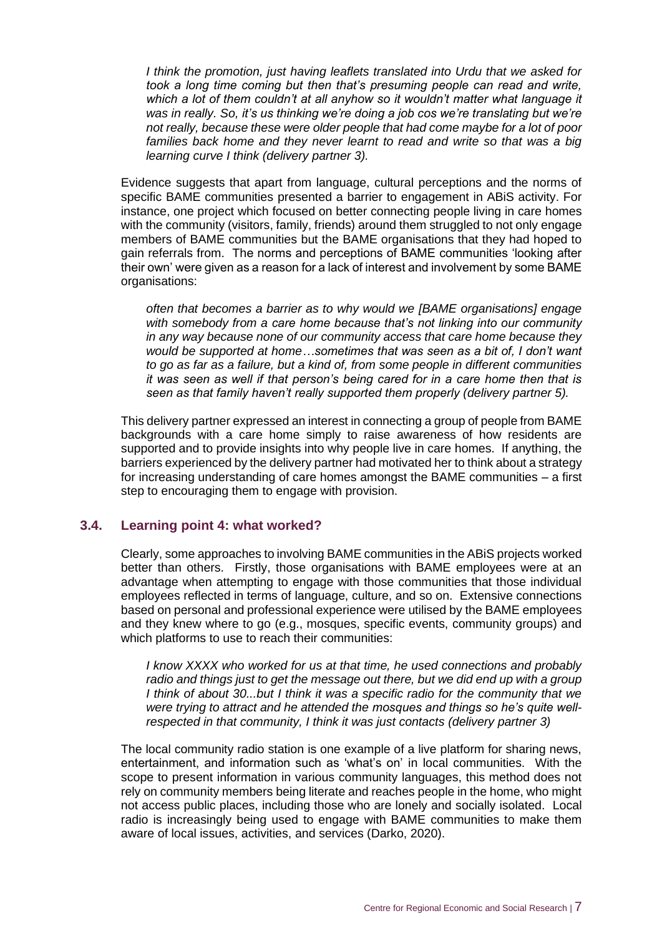*I think the promotion, just having leaflets translated into Urdu that we asked for took a long time coming but then that's presuming people can read and write, which a lot of them couldn't at all anyhow so it wouldn't matter what language it was in really. So, it's us thinking we're doing a job cos we're translating but we're not really, because these were older people that had come maybe for a lot of poor*  families back home and they never learnt to read and write so that was a big *learning curve I think (delivery partner 3).* 

Evidence suggests that apart from language, cultural perceptions and the norms of specific BAME communities presented a barrier to engagement in ABiS activity. For instance, one project which focused on better connecting people living in care homes with the community (visitors, family, friends) around them struggled to not only engage members of BAME communities but the BAME organisations that they had hoped to gain referrals from. The norms and perceptions of BAME communities 'looking after their own' were given as a reason for a lack of interest and involvement by some BAME organisations:

*often that becomes a barrier as to why would we [BAME organisations] engage with somebody from a care home because that's not linking into our community in any way because none of our community access that care home because they would be supported at home…sometimes that was seen as a bit of, I don't want to go as far as a failure, but a kind of, from some people in different communities it was seen as well if that person's being cared for in a care home then that is seen as that family haven't really supported them properly (delivery partner 5).*

This delivery partner expressed an interest in connecting a group of people from BAME backgrounds with a care home simply to raise awareness of how residents are supported and to provide insights into why people live in care homes. If anything, the barriers experienced by the delivery partner had motivated her to think about a strategy for increasing understanding of care homes amongst the BAME communities – a first step to encouraging them to engage with provision.

#### <span id="page-10-0"></span>**3.4. Learning point 4: what worked?**

Clearly, some approaches to involving BAME communities in the ABiS projects worked better than others. Firstly, those organisations with BAME employees were at an advantage when attempting to engage with those communities that those individual employees reflected in terms of language, culture, and so on. Extensive connections based on personal and professional experience were utilised by the BAME employees and they knew where to go (e.g., mosques, specific events, community groups) and which platforms to use to reach their communities:

*I know XXXX who worked for us at that time, he used connections and probably radio and things just to get the message out there, but we did end up with a group I think of about 30...but I think it was a specific radio for the community that we were trying to attract and he attended the mosques and things so he's quite wellrespected in that community, I think it was just contacts (delivery partner 3)*

The local community radio station is one example of a live platform for sharing news, entertainment, and information such as 'what's on' in local communities. With the scope to present information in various community languages, this method does not rely on community members being literate and reaches people in the home, who might not access public places, including those who are lonely and socially isolated. Local radio is increasingly being used to engage with BAME communities to make them aware of local issues, activities, and services (Darko, 2020).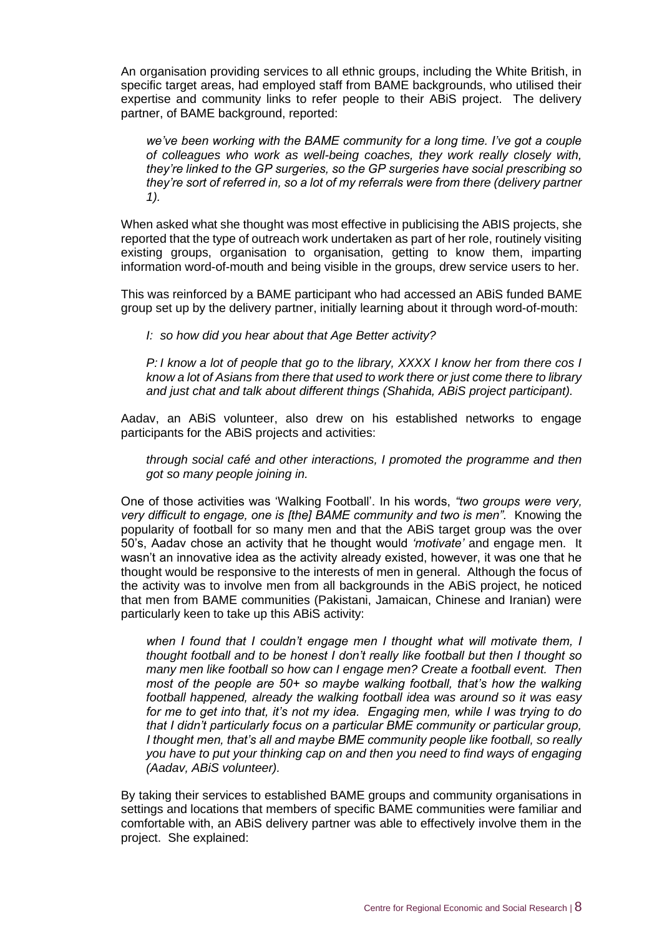An organisation providing services to all ethnic groups, including the White British, in specific target areas, had employed staff from BAME backgrounds, who utilised their expertise and community links to refer people to their ABiS project. The delivery partner, of BAME background, reported:

*we've been working with the BAME community for a long time. I've got a couple of colleagues who work as well-being coaches, they work really closely with, they're linked to the GP surgeries, so the GP surgeries have social prescribing so they're sort of referred in, so a lot of my referrals were from there (delivery partner 1).*

When asked what she thought was most effective in publicising the ABIS projects, she reported that the type of outreach work undertaken as part of her role, routinely visiting existing groups, organisation to organisation, getting to know them, imparting information word-of-mouth and being visible in the groups, drew service users to her.

This was reinforced by a BAME participant who had accessed an ABiS funded BAME group set up by the delivery partner, initially learning about it through word-of-mouth:

*I: so how did you hear about that Age Better activity?*

*P: I know a lot of people that go to the library, XXXX I know her from there cos I know a lot of Asians from there that used to work there or just come there to library and just chat and talk about different things (Shahida, ABiS project participant).*

Aadav, an ABiS volunteer, also drew on his established networks to engage participants for the ABiS projects and activities:

*through social café and other interactions, I promoted the programme and then got so many people joining in.* 

One of those activities was 'Walking Football'. In his words, *"two groups were very, very difficult to engage, one is [the] BAME community and two is men".* Knowing the popularity of football for so many men and that the ABiS target group was the over 50's, Aadav chose an activity that he thought would *'motivate'* and engage men. It wasn't an innovative idea as the activity already existed, however, it was one that he thought would be responsive to the interests of men in general. Although the focus of the activity was to involve men from all backgrounds in the ABiS project, he noticed that men from BAME communities (Pakistani, Jamaican, Chinese and Iranian) were particularly keen to take up this ABiS activity:

*when I found that I couldn't engage men I thought what will motivate them, I thought football and to be honest I don't really like football but then I thought so many men like football so how can I engage men? Create a football event. Then most of the people are 50+ so maybe walking football, that's how the walking football happened, already the walking football idea was around so it was easy for me to get into that, it's not my idea. Engaging men, while I was trying to do that I didn't particularly focus on a particular BME community or particular group, I thought men, that's all and maybe BME community people like football, so really you have to put your thinking cap on and then you need to find ways of engaging (Aadav, ABiS volunteer).* 

By taking their services to established BAME groups and community organisations in settings and locations that members of specific BAME communities were familiar and comfortable with, an ABiS delivery partner was able to effectively involve them in the project. She explained: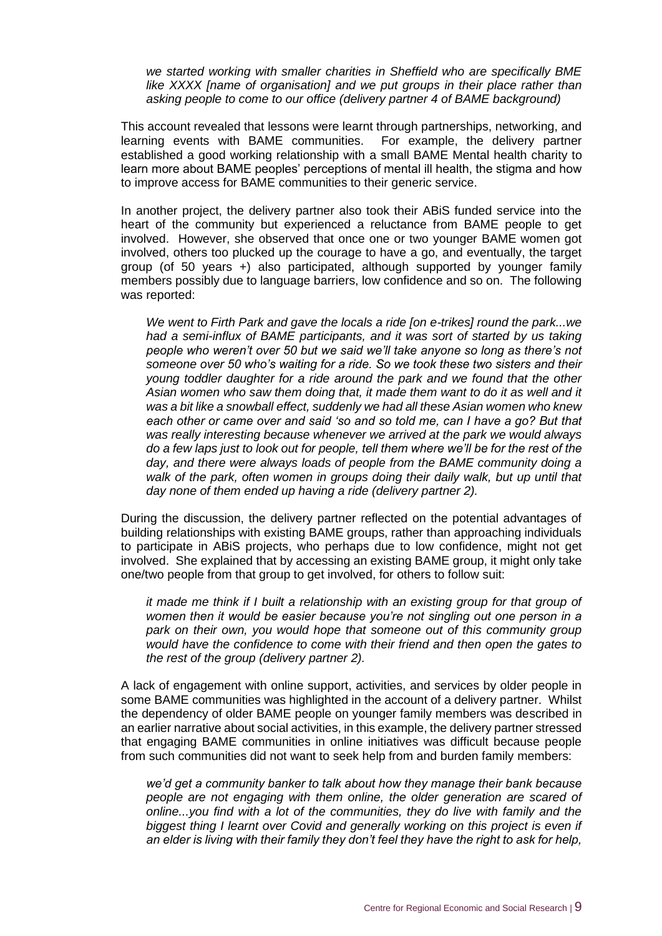*we started working with smaller charities in Sheffield who are specifically BME like XXXX [name of organisation] and we put groups in their place rather than asking people to come to our office (delivery partner 4 of BAME background)* 

This account revealed that lessons were learnt through partnerships, networking, and learning events with BAME communities. For example, the delivery partner established a good working relationship with a small BAME Mental health charity to learn more about BAME peoples' perceptions of mental ill health, the stigma and how to improve access for BAME communities to their generic service.

In another project, the delivery partner also took their ABiS funded service into the heart of the community but experienced a reluctance from BAME people to get involved. However, she observed that once one or two younger BAME women got involved, others too plucked up the courage to have a go, and eventually, the target group (of 50 years +) also participated, although supported by younger family members possibly due to language barriers, low confidence and so on. The following was reported:

*We went to Firth Park and gave the locals a ride [on e-trikes] round the park...we*  had a semi-influx of BAME participants, and it was sort of started by us taking *people who weren't over 50 but we said we'll take anyone so long as there's not someone over 50 who's waiting for a ride. So we took these two sisters and their young toddler daughter for a ride around the park and we found that the other Asian women who saw them doing that, it made them want to do it as well and it was a bit like a snowball effect, suddenly we had all these Asian women who knew each other or came over and said 'so and so told me, can I have a go? But that was really interesting because whenever we arrived at the park we would always do a few laps just to look out for people, tell them where we'll be for the rest of the day, and there were always loads of people from the BAME community doing a*  walk of the park, often women in groups doing their daily walk, but up until that *day none of them ended up having a ride (delivery partner 2).*

During the discussion, the delivery partner reflected on the potential advantages of building relationships with existing BAME groups, rather than approaching individuals to participate in ABiS projects, who perhaps due to low confidence, might not get involved. She explained that by accessing an existing BAME group, it might only take one/two people from that group to get involved, for others to follow suit:

*it made me think if I built a relationship with an existing group for that group of women then it would be easier because you're not singling out one person in a*  park on their own, you would hope that someone out of this community group *would have the confidence to come with their friend and then open the gates to the rest of the group (delivery partner 2).*

A lack of engagement with online support, activities, and services by older people in some BAME communities was highlighted in the account of a delivery partner. Whilst the dependency of older BAME people on younger family members was described in an earlier narrative about social activities, in this example, the delivery partner stressed that engaging BAME communities in online initiatives was difficult because people from such communities did not want to seek help from and burden family members:

*we'd get a community banker to talk about how they manage their bank because people are not engaging with them online, the older generation are scared of online...you find with a lot of the communities, they do live with family and the biggest thing I learnt over Covid and generally working on this project is even if an elder is living with their family they don't feel they have the right to ask for help,*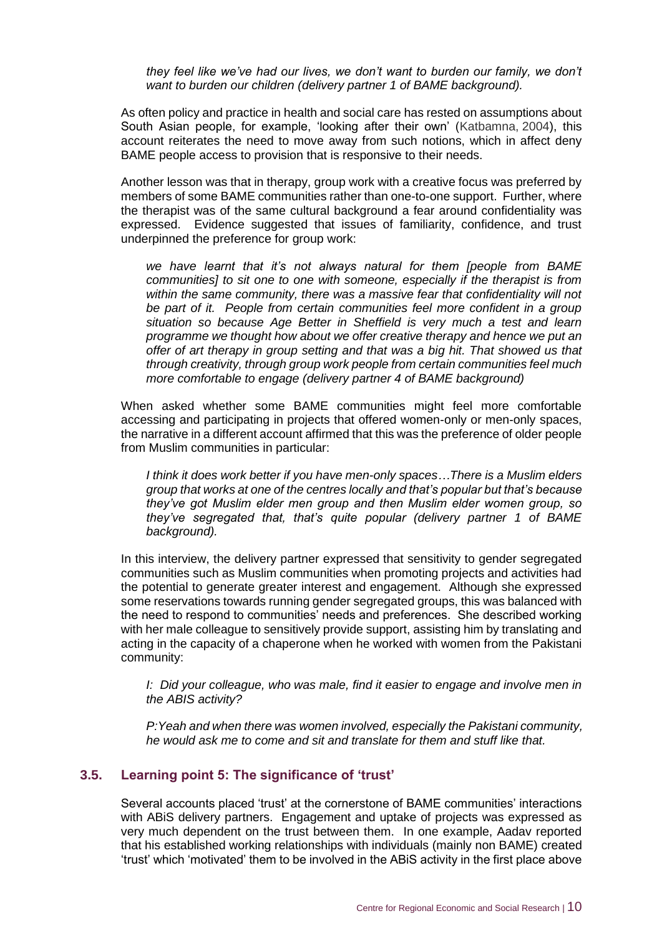*they feel like we've had our lives, we don't want to burden our family, we don't want to burden our children (delivery partner 1 of BAME background).*

As often policy and practice in health and social care has rested on assumptions about South Asian people, for example, 'looking after their own' (Katbamna, 2004), this account reiterates the need to move away from such notions, which in affect deny BAME people access to provision that is responsive to their needs.

Another lesson was that in therapy, group work with a creative focus was preferred by members of some BAME communities rather than one-to-one support. Further, where the therapist was of the same cultural background a fear around confidentiality was expressed. Evidence suggested that issues of familiarity, confidence, and trust underpinned the preference for group work:

*we have learnt that it's not always natural for them [people from BAME communities] to sit one to one with someone, especially if the therapist is from within the same community, there was a massive fear that confidentiality will not be part of it. People from certain communities feel more confident in a group situation so because Age Better in Sheffield is very much a test and learn programme we thought how about we offer creative therapy and hence we put an offer of art therapy in group setting and that was a big hit. That showed us that through creativity, through group work people from certain communities feel much more comfortable to engage (delivery partner 4 of BAME background)*

When asked whether some BAME communities might feel more comfortable accessing and participating in projects that offered women-only or men-only spaces, the narrative in a different account affirmed that this was the preference of older people from Muslim communities in particular:

*I think it does work better if you have men-only spaces…There is a Muslim elders group that works at one of the centres locally and that's popular but that's because they've got Muslim elder men group and then Muslim elder women group, so they've segregated that, that's quite popular (delivery partner 1 of BAME background).*

In this interview, the delivery partner expressed that sensitivity to gender segregated communities such as Muslim communities when promoting projects and activities had the potential to generate greater interest and engagement. Although she expressed some reservations towards running gender segregated groups, this was balanced with the need to respond to communities' needs and preferences. She described working with her male colleague to sensitively provide support, assisting him by translating and acting in the capacity of a chaperone when he worked with women from the Pakistani community:

*I: Did your colleague, who was male, find it easier to engage and involve men in the ABIS activity?*

*P:Yeah and when there was women involved, especially the Pakistani community, he would ask me to come and sit and translate for them and stuff like that.*

#### <span id="page-13-0"></span>**3.5. Learning point 5: The significance of 'trust'**

Several accounts placed 'trust' at the cornerstone of BAME communities' interactions with ABiS delivery partners. Engagement and uptake of projects was expressed as very much dependent on the trust between them. In one example, Aadav reported that his established working relationships with individuals (mainly non BAME) created 'trust' which 'motivated' them to be involved in the ABiS activity in the first place above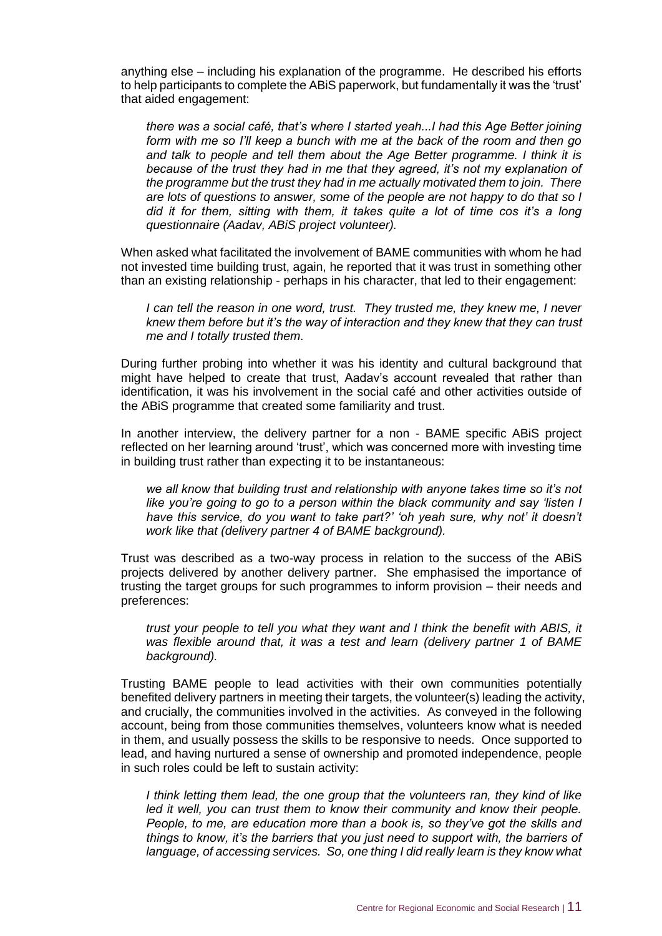anything else – including his explanation of the programme. He described his efforts to help participants to complete the ABiS paperwork, but fundamentally it was the 'trust' that aided engagement:

*there was a social café, that's where I started yeah...I had this Age Better joining form with me so I'll keep a bunch with me at the back of the room and then go and talk to people and tell them about the Age Better programme. I think it is because of the trust they had in me that they agreed, it's not my explanation of the programme but the trust they had in me actually motivated them to join. There are lots of questions to answer, some of the people are not happy to do that so I did it for them, sitting with them, it takes quite a lot of time cos it's a long questionnaire (Aadav, ABiS project volunteer).*

When asked what facilitated the involvement of BAME communities with whom he had not invested time building trust, again, he reported that it was trust in something other than an existing relationship - perhaps in his character, that led to their engagement:

*I can tell the reason in one word, trust. They trusted me, they knew me, I never knew them before but it's the way of interaction and they knew that they can trust me and I totally trusted them.*

During further probing into whether it was his identity and cultural background that might have helped to create that trust, Aadav's account revealed that rather than identification, it was his involvement in the social café and other activities outside of the ABiS programme that created some familiarity and trust.

In another interview, the delivery partner for a non - BAME specific ABiS project reflected on her learning around 'trust', which was concerned more with investing time in building trust rather than expecting it to be instantaneous:

*we all know that building trust and relationship with anyone takes time so it's not like you're going to go to a person within the black community and say 'listen I have this service, do you want to take part?' 'oh yeah sure, why not' it doesn't work like that (delivery partner 4 of BAME background).*

Trust was described as a two-way process in relation to the success of the ABiS projects delivered by another delivery partner. She emphasised the importance of trusting the target groups for such programmes to inform provision – their needs and preferences:

*trust your people to tell you what they want and I think the benefit with ABIS, it was flexible around that, it was a test and learn (delivery partner 1 of BAME background).*

Trusting BAME people to lead activities with their own communities potentially benefited delivery partners in meeting their targets, the volunteer(s) leading the activity, and crucially, the communities involved in the activities. As conveyed in the following account, being from those communities themselves, volunteers know what is needed in them, and usually possess the skills to be responsive to needs. Once supported to lead, and having nurtured a sense of ownership and promoted independence, people in such roles could be left to sustain activity:

*I think letting them lead, the one group that the volunteers ran, they kind of like*  led it well, you can trust them to know their community and know their people. *People, to me, are education more than a book is, so they've got the skills and things to know, it's the barriers that you just need to support with, the barriers of language, of accessing services. So, one thing I did really learn is they know what*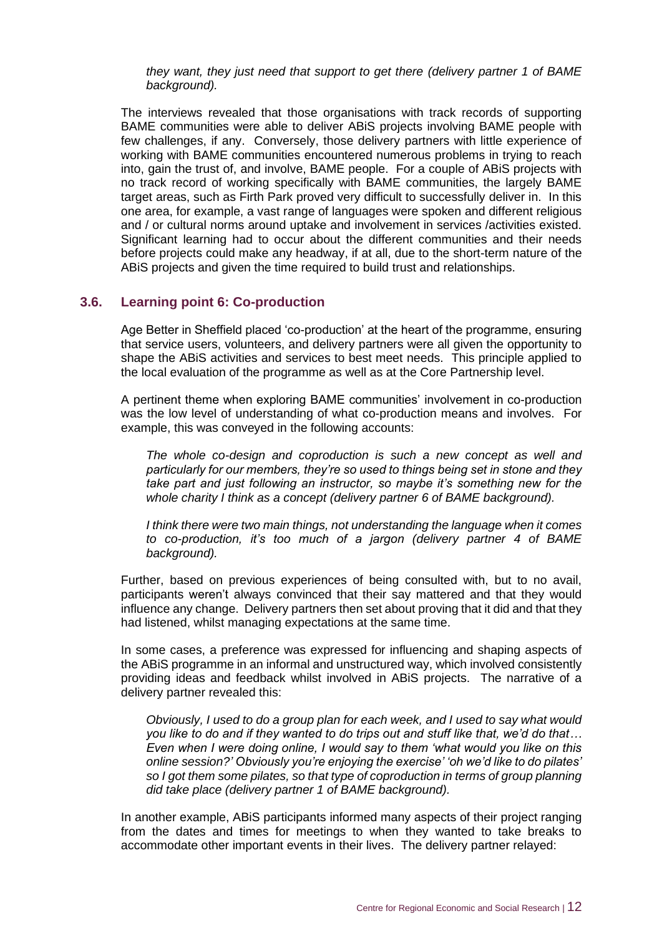*they want, they just need that support to get there (delivery partner 1 of BAME background).*

The interviews revealed that those organisations with track records of supporting BAME communities were able to deliver ABiS projects involving BAME people with few challenges, if any. Conversely, those delivery partners with little experience of working with BAME communities encountered numerous problems in trying to reach into, gain the trust of, and involve, BAME people. For a couple of ABiS projects with no track record of working specifically with BAME communities, the largely BAME target areas, such as Firth Park proved very difficult to successfully deliver in. In this one area, for example, a vast range of languages were spoken and different religious and / or cultural norms around uptake and involvement in services /activities existed. Significant learning had to occur about the different communities and their needs before projects could make any headway, if at all, due to the short-term nature of the ABiS projects and given the time required to build trust and relationships.

#### <span id="page-15-0"></span>**3.6. Learning point 6: Co-production**

Age Better in Sheffield placed 'co-production' at the heart of the programme, ensuring that service users, volunteers, and delivery partners were all given the opportunity to shape the ABiS activities and services to best meet needs. This principle applied to the local evaluation of the programme as well as at the Core Partnership level.

A pertinent theme when exploring BAME communities' involvement in co-production was the low level of understanding of what co-production means and involves. For example, this was conveyed in the following accounts:

*The whole co-design and coproduction is such a new concept as well and particularly for our members, they're so used to things being set in stone and they take part and just following an instructor, so maybe it's something new for the whole charity I think as a concept (delivery partner 6 of BAME background).*

*I think there were two main things, not understanding the language when it comes to co-production, it's too much of a jargon (delivery partner 4 of BAME background).*

Further, based on previous experiences of being consulted with, but to no avail, participants weren't always convinced that their say mattered and that they would influence any change. Delivery partners then set about proving that it did and that they had listened, whilst managing expectations at the same time.

In some cases, a preference was expressed for influencing and shaping aspects of the ABiS programme in an informal and unstructured way, which involved consistently providing ideas and feedback whilst involved in ABiS projects. The narrative of a delivery partner revealed this:

*Obviously, I used to do a group plan for each week, and I used to say what would you like to do and if they wanted to do trips out and stuff like that, we'd do that… Even when I were doing online, I would say to them 'what would you like on this online session?' Obviously you're enjoying the exercise' 'oh we'd like to do pilates' so I got them some pilates, so that type of coproduction in terms of group planning did take place (delivery partner 1 of BAME background).*

In another example, ABiS participants informed many aspects of their project ranging from the dates and times for meetings to when they wanted to take breaks to accommodate other important events in their lives. The delivery partner relayed: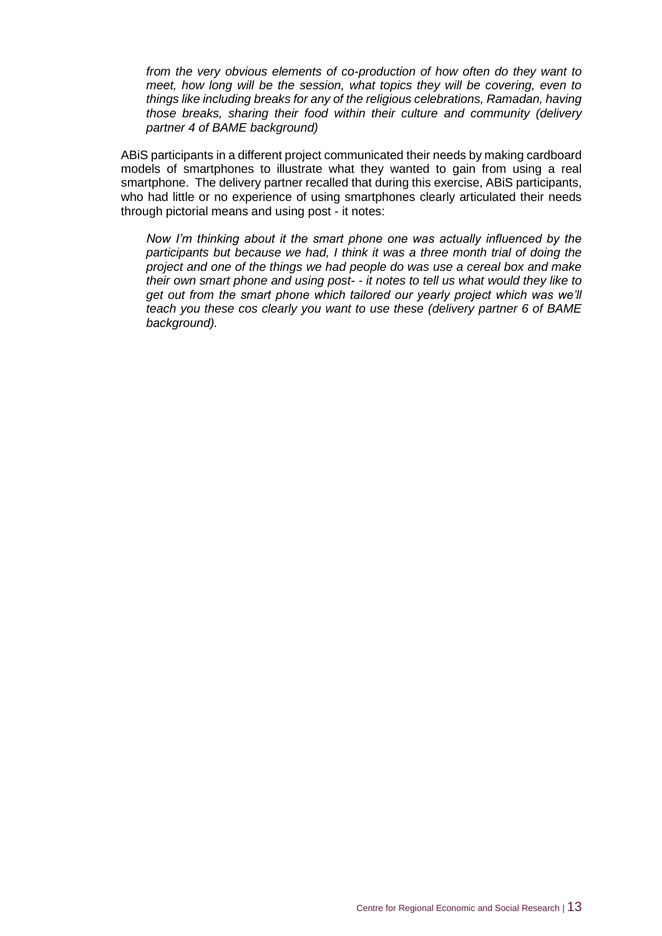*from the very obvious elements of co-production of how often do they want to meet, how long will be the session, what topics they will be covering, even to things like including breaks for any of the religious celebrations, Ramadan, having those breaks, sharing their food within their culture and community (delivery partner 4 of BAME background)*

ABiS participants in a different project communicated their needs by making cardboard models of smartphones to illustrate what they wanted to gain from using a real smartphone. The delivery partner recalled that during this exercise, ABiS participants, who had little or no experience of using smartphones clearly articulated their needs through pictorial means and using post - it notes:

*Now I'm thinking about it the smart phone one was actually influenced by the participants but because we had, I think it was a three month trial of doing the project and one of the things we had people do was use a cereal box and make their own smart phone and using post- - it notes to tell us what would they like to get out from the smart phone which tailored our yearly project which was we'll teach you these cos clearly you want to use these (delivery partner 6 of BAME background).*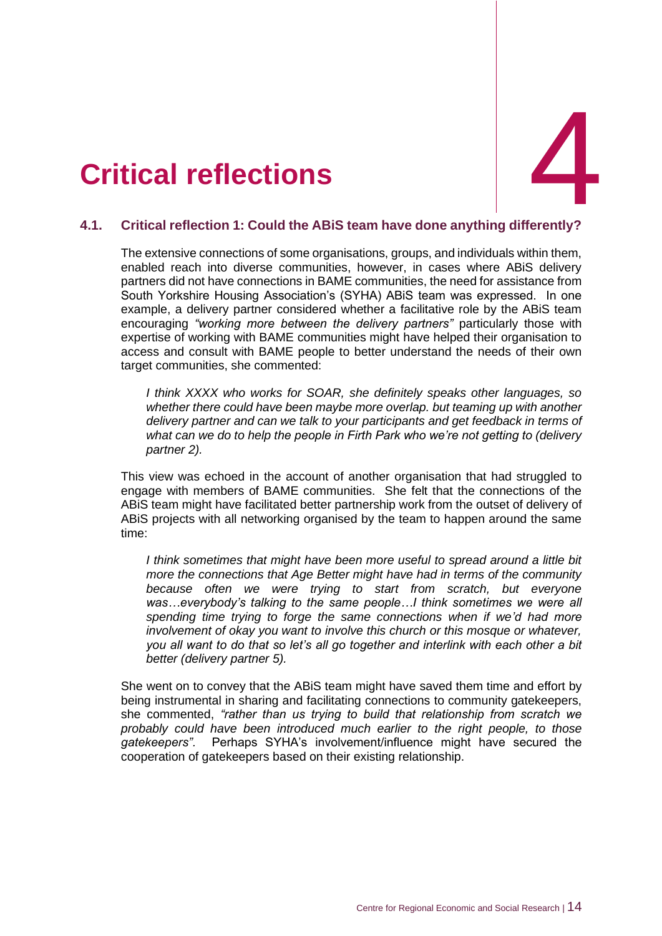## <span id="page-17-0"></span>4. **Critical reflection**



#### <span id="page-17-1"></span>**4.1. Critical reflection 1: Could the ABiS team have done anything differently?**

The extensive connections of some organisations, groups, and individuals within them, enabled reach into diverse communities, however, in cases where ABiS delivery partners did not have connections in BAME communities, the need for assistance from South Yorkshire Housing Association's (SYHA) ABiS team was expressed. In one example, a delivery partner considered whether a facilitative role by the ABiS team encouraging *"working more between the delivery partners"* particularly those with expertise of working with BAME communities might have helped their organisation to access and consult with BAME people to better understand the needs of their own target communities, she commented:

*I think XXXX who works for SOAR, she definitely speaks other languages, so whether there could have been maybe more overlap. but teaming up with another delivery partner and can we talk to your participants and get feedback in terms of what can we do to help the people in Firth Park who we're not getting to (delivery partner 2).* 

This view was echoed in the account of another organisation that had struggled to engage with members of BAME communities. She felt that the connections of the ABiS team might have facilitated better partnership work from the outset of delivery of ABiS projects with all networking organised by the team to happen around the same time:

*I think sometimes that might have been more useful to spread around a little bit more the connections that Age Better might have had in terms of the community because often we were trying to start from scratch, but everyone was…everybody's talking to the same people…I think sometimes we were all spending time trying to forge the same connections when if we'd had more involvement of okay you want to involve this church or this mosque or whatever, you all want to do that so let's all go together and interlink with each other a bit better (delivery partner 5).*

She went on to convey that the ABiS team might have saved them time and effort by being instrumental in sharing and facilitating connections to community gatekeepers, she commented, *"rather than us trying to build that relationship from scratch we probably could have been introduced much earlier to the right people, to those gatekeepers".* Perhaps SYHA's involvement/influence might have secured the cooperation of gatekeepers based on their existing relationship.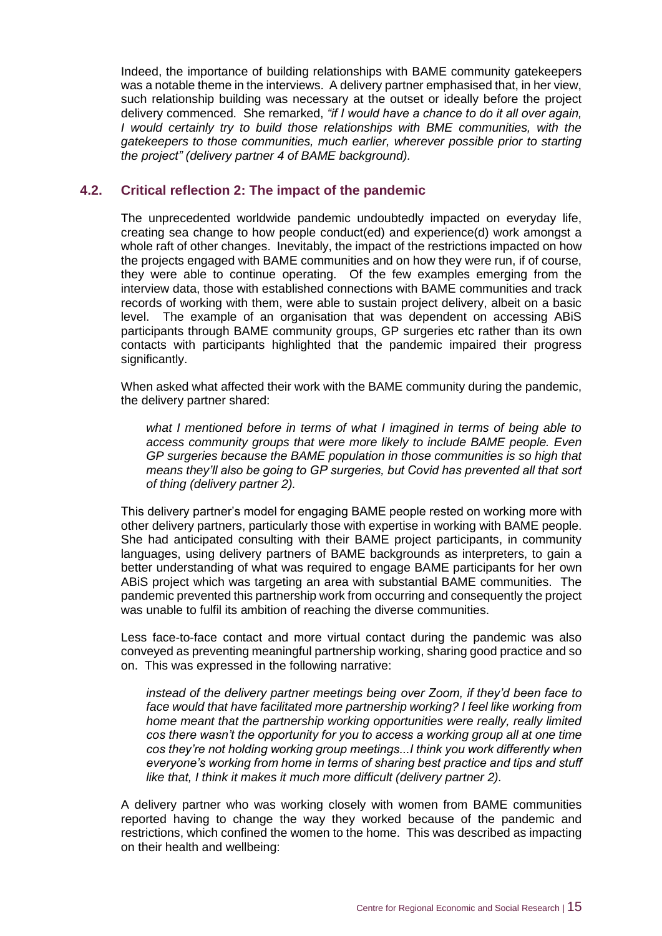Indeed, the importance of building relationships with BAME community gatekeepers was a notable theme in the interviews. A delivery partner emphasised that, in her view, such relationship building was necessary at the outset or ideally before the project delivery commenced. She remarked, *"if I would have a chance to do it all over again, I* would certainly try to build those relationships with BME communities, with the *gatekeepers to those communities, much earlier, wherever possible prior to starting the project" (delivery partner 4 of BAME background).*

#### <span id="page-18-0"></span>**4.2. Critical reflection 2: The impact of the pandemic**

The unprecedented worldwide pandemic undoubtedly impacted on everyday life, creating sea change to how people conduct(ed) and experience(d) work amongst a whole raft of other changes. Inevitably, the impact of the restrictions impacted on how the projects engaged with BAME communities and on how they were run, if of course, they were able to continue operating. Of the few examples emerging from the interview data, those with established connections with BAME communities and track records of working with them, were able to sustain project delivery, albeit on a basic level. The example of an organisation that was dependent on accessing ABiS participants through BAME community groups, GP surgeries etc rather than its own contacts with participants highlighted that the pandemic impaired their progress significantly.

When asked what affected their work with the BAME community during the pandemic, the delivery partner shared:

*what I mentioned before in terms of what I imagined in terms of being able to access community groups that were more likely to include BAME people. Even GP surgeries because the BAME population in those communities is so high that means they'll also be going to GP surgeries, but Covid has prevented all that sort of thing (delivery partner 2).*

This delivery partner's model for engaging BAME people rested on working more with other delivery partners, particularly those with expertise in working with BAME people. She had anticipated consulting with their BAME project participants, in community languages, using delivery partners of BAME backgrounds as interpreters, to gain a better understanding of what was required to engage BAME participants for her own ABiS project which was targeting an area with substantial BAME communities. The pandemic prevented this partnership work from occurring and consequently the project was unable to fulfil its ambition of reaching the diverse communities.

Less face-to-face contact and more virtual contact during the pandemic was also conveyed as preventing meaningful partnership working, sharing good practice and so on. This was expressed in the following narrative:

*instead of the delivery partner meetings being over Zoom, if they'd been face to face would that have facilitated more partnership working? I feel like working from home meant that the partnership working opportunities were really, really limited cos there wasn't the opportunity for you to access a working group all at one time cos they're not holding working group meetings...I think you work differently when everyone's working from home in terms of sharing best practice and tips and stuff like that, I think it makes it much more difficult (delivery partner 2).*

A delivery partner who was working closely with women from BAME communities reported having to change the way they worked because of the pandemic and restrictions, which confined the women to the home. This was described as impacting on their health and wellbeing: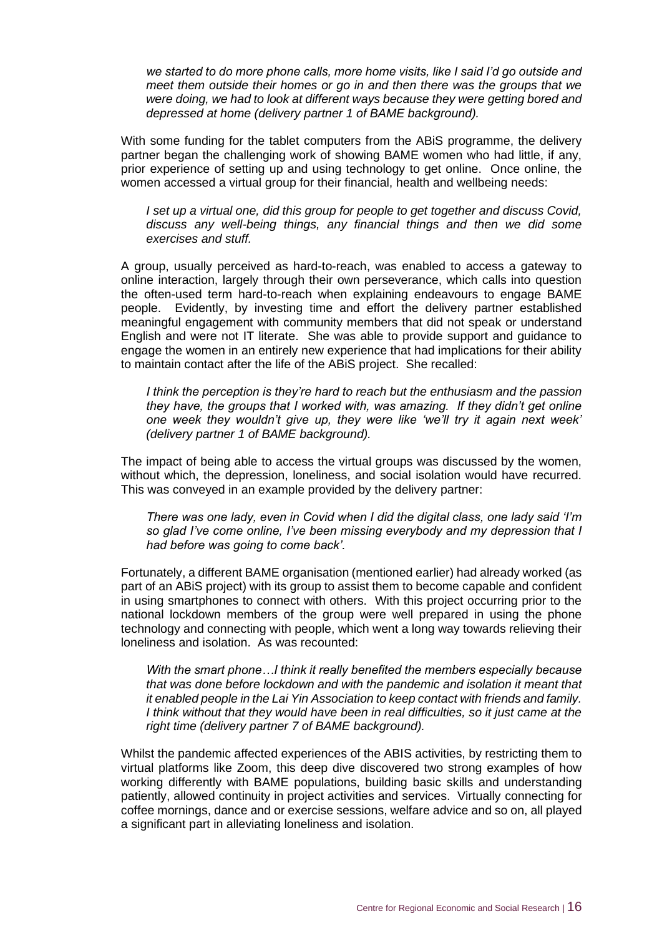*we started to do more phone calls, more home visits, like I said I'd go outside and meet them outside their homes or go in and then there was the groups that we were doing, we had to look at different ways because they were getting bored and depressed at home (delivery partner 1 of BAME background).*

With some funding for the tablet computers from the ABiS programme, the delivery partner began the challenging work of showing BAME women who had little, if any, prior experience of setting up and using technology to get online. Once online, the women accessed a virtual group for their financial, health and wellbeing needs:

*I set up a virtual one, did this group for people to get together and discuss Covid, discuss any well-being things, any financial things and then we did some exercises and stuff.*

A group, usually perceived as hard-to-reach, was enabled to access a gateway to online interaction, largely through their own perseverance, which calls into question the often-used term hard-to-reach when explaining endeavours to engage BAME people. Evidently, by investing time and effort the delivery partner established meaningful engagement with community members that did not speak or understand English and were not IT literate. She was able to provide support and guidance to engage the women in an entirely new experience that had implications for their ability to maintain contact after the life of the ABiS project. She recalled:

*I think the perception is they're hard to reach but the enthusiasm and the passion they have, the groups that I worked with, was amazing. If they didn't get online one week they wouldn't give up, they were like 'we'll try it again next week' (delivery partner 1 of BAME background).*

The impact of being able to access the virtual groups was discussed by the women, without which, the depression, loneliness, and social isolation would have recurred. This was conveyed in an example provided by the delivery partner:

*There was one lady, even in Covid when I did the digital class, one lady said 'I'm so glad I've come online, I've been missing everybody and my depression that I had before was going to come back'.* 

Fortunately, a different BAME organisation (mentioned earlier) had already worked (as part of an ABiS project) with its group to assist them to become capable and confident in using smartphones to connect with others. With this project occurring prior to the national lockdown members of the group were well prepared in using the phone technology and connecting with people, which went a long way towards relieving their loneliness and isolation. As was recounted:

*With the smart phone…I think it really benefited the members especially because that was done before lockdown and with the pandemic and isolation it meant that it enabled people in the Lai Yin Association to keep contact with friends and family. I think without that they would have been in real difficulties, so it just came at the right time (delivery partner 7 of BAME background).*

Whilst the pandemic affected experiences of the ABIS activities, by restricting them to virtual platforms like Zoom, this deep dive discovered two strong examples of how working differently with BAME populations, building basic skills and understanding patiently, allowed continuity in project activities and services. Virtually connecting for coffee mornings, dance and or exercise sessions, welfare advice and so on, all played a significant part in alleviating loneliness and isolation.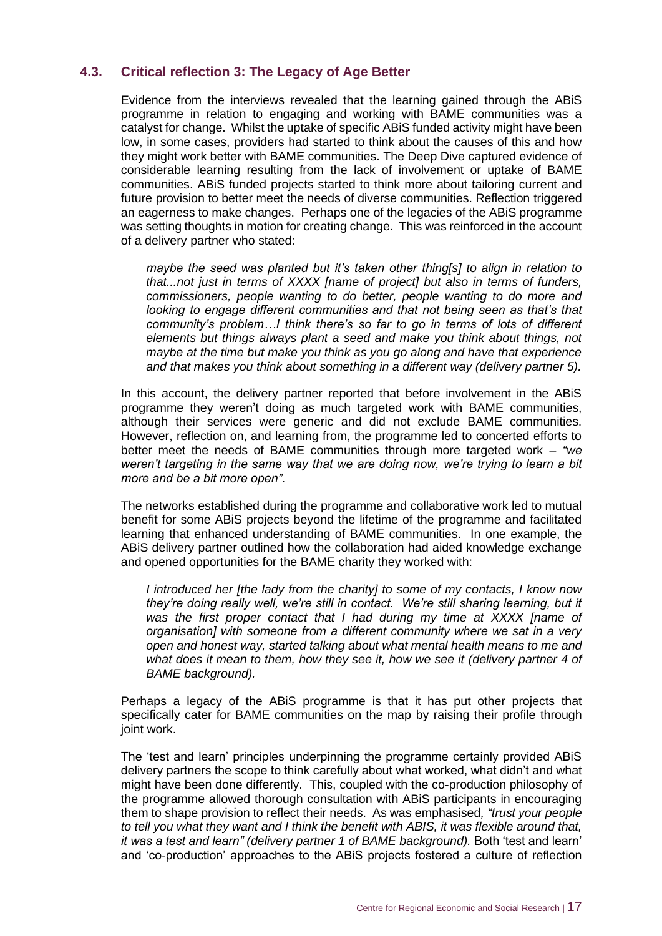#### <span id="page-20-0"></span>**4.3. Critical reflection 3: The Legacy of Age Better**

Evidence from the interviews revealed that the learning gained through the ABiS programme in relation to engaging and working with BAME communities was a catalyst for change. Whilst the uptake of specific ABiS funded activity might have been low, in some cases, providers had started to think about the causes of this and how they might work better with BAME communities. The Deep Dive captured evidence of considerable learning resulting from the lack of involvement or uptake of BAME communities. ABiS funded projects started to think more about tailoring current and future provision to better meet the needs of diverse communities. Reflection triggered an eagerness to make changes. Perhaps one of the legacies of the ABiS programme was setting thoughts in motion for creating change. This was reinforced in the account of a delivery partner who stated:

*maybe the seed was planted but it's taken other thing[s] to align in relation to that...not just in terms of XXXX [name of project] but also in terms of funders, commissioners, people wanting to do better, people wanting to do more and looking to engage different communities and that not being seen as that's that community's problem…I think there's so far to go in terms of lots of different elements but things always plant a seed and make you think about things, not maybe at the time but make you think as you go along and have that experience and that makes you think about something in a different way (delivery partner 5).*

In this account, the delivery partner reported that before involvement in the ABiS programme they weren't doing as much targeted work with BAME communities, although their services were generic and did not exclude BAME communities. However, reflection on, and learning from, the programme led to concerted efforts to better meet the needs of BAME communities through more targeted work – *"we weren't targeting in the same way that we are doing now, we're trying to learn a bit more and be a bit more open".*

The networks established during the programme and collaborative work led to mutual benefit for some ABiS projects beyond the lifetime of the programme and facilitated learning that enhanced understanding of BAME communities. In one example, the ABiS delivery partner outlined how the collaboration had aided knowledge exchange and opened opportunities for the BAME charity they worked with:

*I introduced her [the lady from the charity] to some of my contacts, I know now they're doing really well, we're still in contact. We're still sharing learning, but it was the first proper contact that I had during my time at XXXX [name of organisation] with someone from a different community where we sat in a very open and honest way, started talking about what mental health means to me and what does it mean to them, how they see it, how we see it (delivery partner 4 of BAME background).*

Perhaps a legacy of the ABiS programme is that it has put other projects that specifically cater for BAME communities on the map by raising their profile through joint work.

The 'test and learn' principles underpinning the programme certainly provided ABiS delivery partners the scope to think carefully about what worked, what didn't and what might have been done differently. This, coupled with the co-production philosophy of the programme allowed thorough consultation with ABiS participants in encouraging them to shape provision to reflect their needs. As was emphasised*, "trust your people to tell you what they want and I think the benefit with ABIS, it was flexible around that, it was a test and learn" (delivery partner 1 of BAME background).* Both 'test and learn' and 'co-production' approaches to the ABiS projects fostered a culture of reflection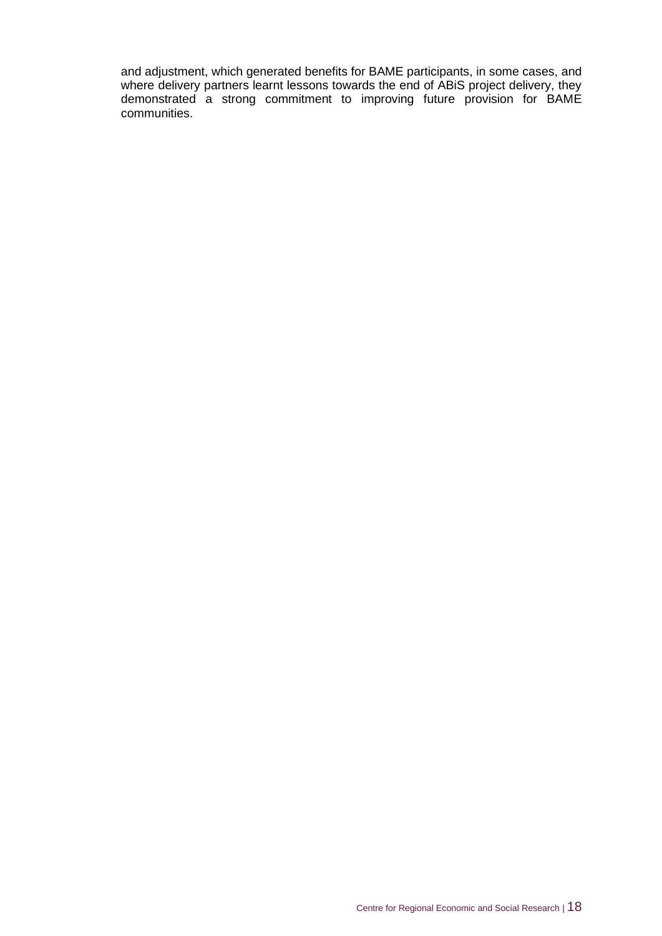and adjustment, which generated benefits for BAME participants, in some cases, and where delivery partners learnt lessons towards the end of ABiS project delivery, they demonstrated a strong commitment to improving future provision for BAME communities.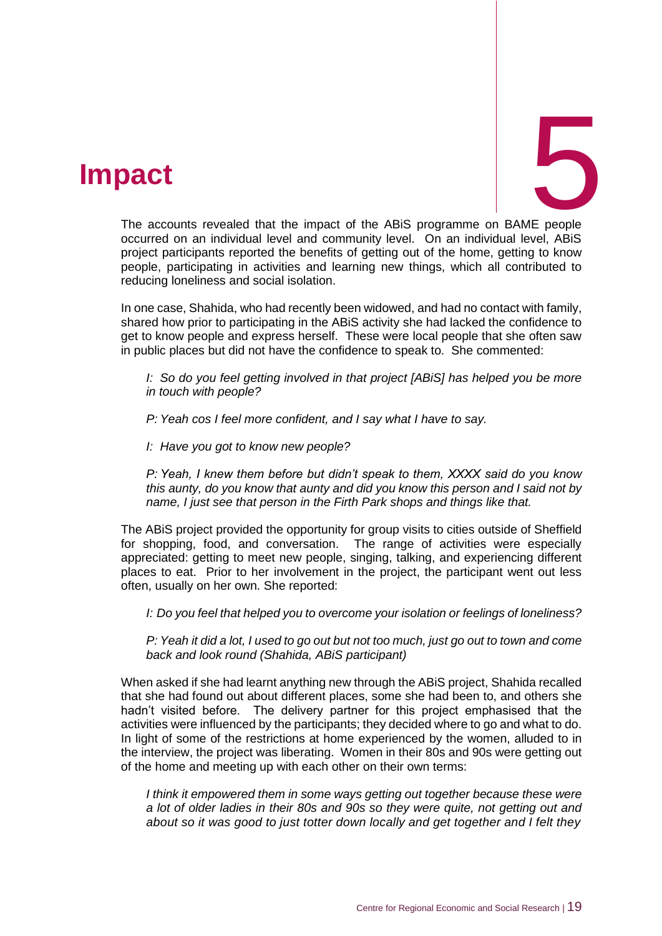### <span id="page-22-0"></span>5. **Impact**



The accounts revealed that the impact of the ABiS programme on BAME people occurred on an individual level and community level. On an individual level, ABiS project participants reported the benefits of getting out of the home, getting to know people, participating in activities and learning new things, which all contributed to reducing loneliness and social isolation.

In one case, Shahida, who had recently been widowed, and had no contact with family, shared how prior to participating in the ABiS activity she had lacked the confidence to get to know people and express herself. These were local people that she often saw in public places but did not have the confidence to speak to. She commented:

*I: So do you feel getting involved in that project [ABiS] has helped you be more in touch with people?*

*P: Yeah cos I feel more confident, and I say what I have to say.*

*I: Have you got to know new people?*

*P: Yeah, I knew them before but didn't speak to them, XXXX said do you know this aunty, do you know that aunty and did you know this person and I said not by name, I just see that person in the Firth Park shops and things like that.*

The ABiS project provided the opportunity for group visits to cities outside of Sheffield for shopping, food, and conversation. The range of activities were especially appreciated: getting to meet new people, singing, talking, and experiencing different places to eat. Prior to her involvement in the project, the participant went out less often, usually on her own. She reported:

*I: Do you feel that helped you to overcome your isolation or feelings of loneliness?*

*P: Yeah it did a lot, I used to go out but not too much, just go out to town and come back and look round (Shahida, ABiS participant)*

When asked if she had learnt anything new through the ABiS project, Shahida recalled that she had found out about different places, some she had been to, and others she hadn't visited before. The delivery partner for this project emphasised that the activities were influenced by the participants; they decided where to go and what to do. In light of some of the restrictions at home experienced by the women, alluded to in the interview, the project was liberating. Women in their 80s and 90s were getting out of the home and meeting up with each other on their own terms:

*I think it empowered them in some ways getting out together because these were a lot of older ladies in their 80s and 90s so they were quite, not getting out and about so it was good to just totter down locally and get together and I felt they*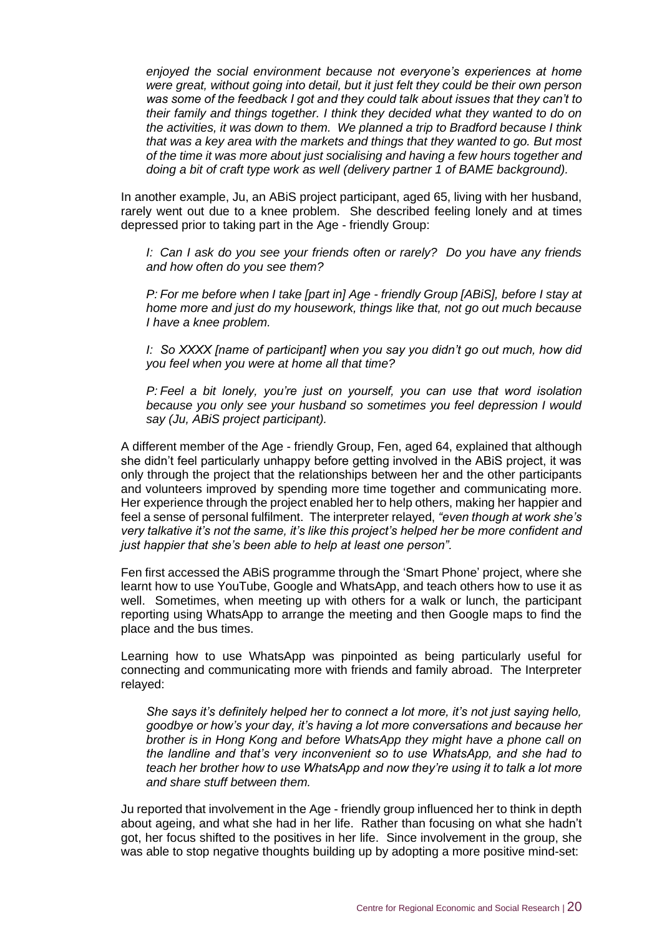*enjoyed the social environment because not everyone's experiences at home were great, without going into detail, but it just felt they could be their own person was some of the feedback I got and they could talk about issues that they can't to their family and things together. I think they decided what they wanted to do on the activities, it was down to them. We planned a trip to Bradford because I think that was a key area with the markets and things that they wanted to go. But most of the time it was more about just socialising and having a few hours together and doing a bit of craft type work as well (delivery partner 1 of BAME background).*

In another example, Ju, an ABiS project participant, aged 65, living with her husband, rarely went out due to a knee problem. She described feeling lonely and at times depressed prior to taking part in the Age - friendly Group:

*I: Can I ask do you see your friends often or rarely? Do you have any friends and how often do you see them?*

*P: For me before when I take [part in] Age - friendly Group [ABiS], before I stay at home more and just do my housework, things like that, not go out much because I have a knee problem.*

*I: So XXXX [name of participant] when you say you didn't go out much, how did you feel when you were at home all that time?*

*P: Feel a bit lonely, you're just on yourself, you can use that word isolation because you only see your husband so sometimes you feel depression I would say (Ju, ABiS project participant).*

A different member of the Age - friendly Group, Fen, aged 64, explained that although she didn't feel particularly unhappy before getting involved in the ABiS project, it was only through the project that the relationships between her and the other participants and volunteers improved by spending more time together and communicating more. Her experience through the project enabled her to help others, making her happier and feel a sense of personal fulfilment. The interpreter relayed, *"even though at work she's very talkative it's not the same, it's like this project's helped her be more confident and just happier that she's been able to help at least one person".*

Fen first accessed the ABiS programme through the 'Smart Phone' project, where she learnt how to use YouTube, Google and WhatsApp, and teach others how to use it as well. Sometimes, when meeting up with others for a walk or lunch, the participant reporting using WhatsApp to arrange the meeting and then Google maps to find the place and the bus times.

Learning how to use WhatsApp was pinpointed as being particularly useful for connecting and communicating more with friends and family abroad. The Interpreter relayed:

*She says it's definitely helped her to connect a lot more, it's not just saying hello, goodbye or how's your day, it's having a lot more conversations and because her brother is in Hong Kong and before WhatsApp they might have a phone call on the landline and that's very inconvenient so to use WhatsApp, and she had to teach her brother how to use WhatsApp and now they're using it to talk a lot more and share stuff between them.*

Ju reported that involvement in the Age - friendly group influenced her to think in depth about ageing, and what she had in her life. Rather than focusing on what she hadn't got, her focus shifted to the positives in her life. Since involvement in the group, she was able to stop negative thoughts building up by adopting a more positive mind-set: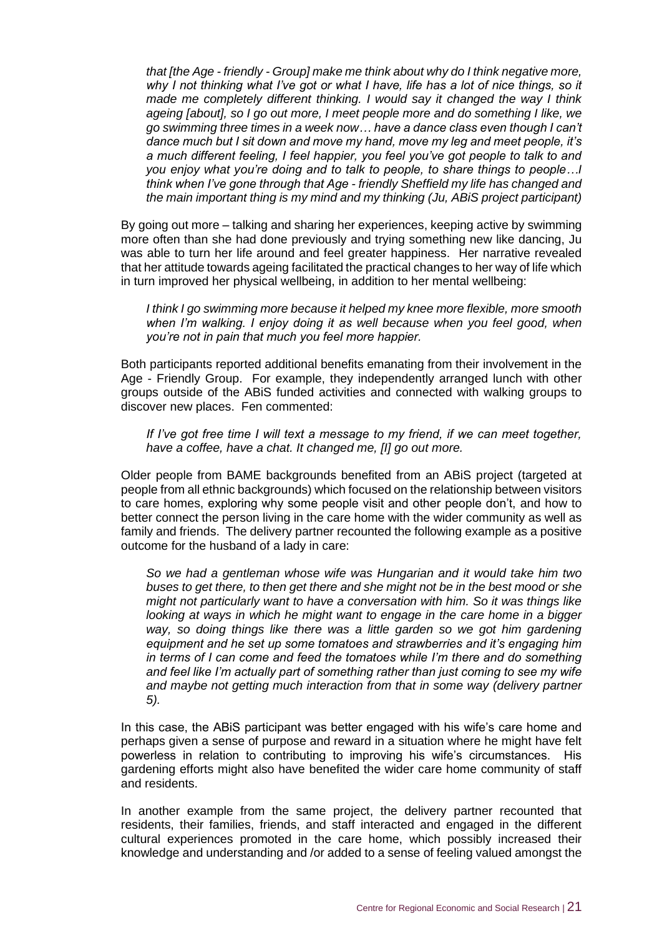*that [the Age - friendly - Group] make me think about why do I think negative more, why I not thinking what I've got or what I have, life has a lot of nice things, so it made me completely different thinking. I would say it changed the way I think ageing [about], so I go out more, I meet people more and do something I like, we go swimming three times in a week now… have a dance class even though I can't dance much but I sit down and move my hand, move my leg and meet people, it's a much different feeling, I feel happier, you feel you've got people to talk to and you enjoy what you're doing and to talk to people, to share things to people…I think when I've gone through that Age - friendly Sheffield my life has changed and the main important thing is my mind and my thinking (Ju, ABiS project participant)*

By going out more – talking and sharing her experiences, keeping active by swimming more often than she had done previously and trying something new like dancing, Ju was able to turn her life around and feel greater happiness. Her narrative revealed that her attitude towards ageing facilitated the practical changes to her way of life which in turn improved her physical wellbeing, in addition to her mental wellbeing:

*I think I go swimming more because it helped my knee more flexible, more smooth*  when I'm walking. I enjoy doing it as well because when you feel good, when *you're not in pain that much you feel more happier.*

Both participants reported additional benefits emanating from their involvement in the Age - Friendly Group. For example, they independently arranged lunch with other groups outside of the ABiS funded activities and connected with walking groups to discover new places. Fen commented:

*If I've got free time I will text a message to my friend, if we can meet together, have a coffee, have a chat. It changed me, [I] go out more.*

Older people from BAME backgrounds benefited from an ABiS project (targeted at people from all ethnic backgrounds) which focused on the relationship between visitors to care homes, exploring why some people visit and other people don't, and how to better connect the person living in the care home with the wider community as well as family and friends. The delivery partner recounted the following example as a positive outcome for the husband of a lady in care:

*So we had a gentleman whose wife was Hungarian and it would take him two buses to get there, to then get there and she might not be in the best mood or she might not particularly want to have a conversation with him. So it was things like looking at ways in which he might want to engage in the care home in a bigger way, so doing things like there was a little garden so we got him gardening equipment and he set up some tomatoes and strawberries and it's engaging him in terms of I can come and feed the tomatoes while I'm there and do something and feel like I'm actually part of something rather than just coming to see my wife and maybe not getting much interaction from that in some way (delivery partner 5).*

In this case, the ABiS participant was better engaged with his wife's care home and perhaps given a sense of purpose and reward in a situation where he might have felt powerless in relation to contributing to improving his wife's circumstances. His gardening efforts might also have benefited the wider care home community of staff and residents.

In another example from the same project, the delivery partner recounted that residents, their families, friends, and staff interacted and engaged in the different cultural experiences promoted in the care home, which possibly increased their knowledge and understanding and /or added to a sense of feeling valued amongst the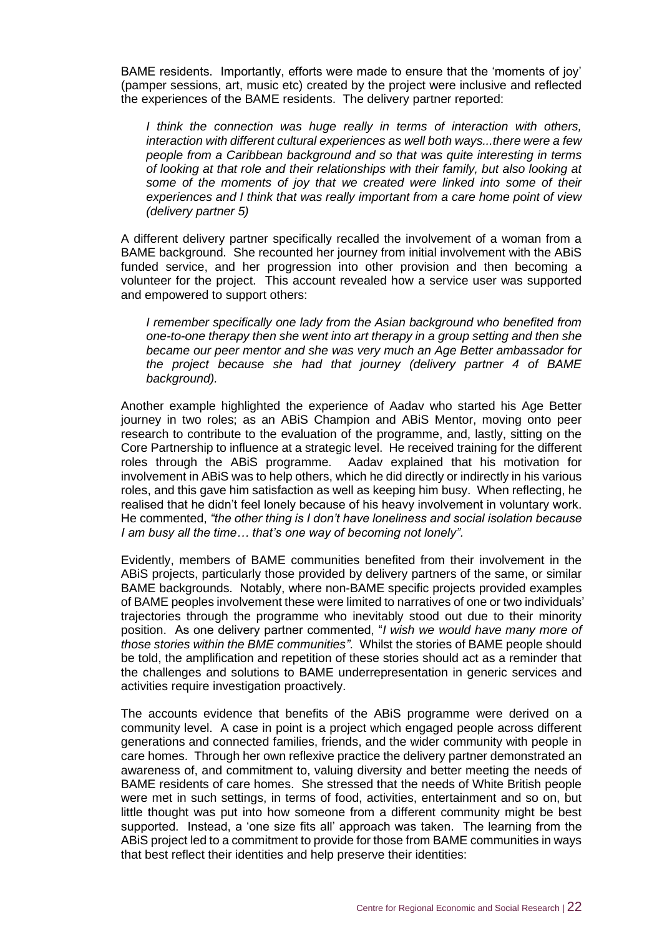BAME residents. Importantly, efforts were made to ensure that the 'moments of joy' (pamper sessions, art, music etc) created by the project were inclusive and reflected the experiences of the BAME residents. The delivery partner reported:

*I think the connection was huge really in terms of interaction with others, interaction with different cultural experiences as well both ways...there were a few people from a Caribbean background and so that was quite interesting in terms of looking at that role and their relationships with their family, but also looking at some of the moments of joy that we created were linked into some of their experiences and I think that was really important from a care home point of view (delivery partner 5)*

A different delivery partner specifically recalled the involvement of a woman from a BAME background. She recounted her journey from initial involvement with the ABiS funded service, and her progression into other provision and then becoming a volunteer for the project. This account revealed how a service user was supported and empowered to support others:

*I remember specifically one lady from the Asian background who benefited from one-to-one therapy then she went into art therapy in a group setting and then she became our peer mentor and she was very much an Age Better ambassador for the project because she had that journey (delivery partner 4 of BAME background).*

Another example highlighted the experience of Aadav who started his Age Better journey in two roles; as an ABiS Champion and ABiS Mentor, moving onto peer research to contribute to the evaluation of the programme, and, lastly, sitting on the Core Partnership to influence at a strategic level. He received training for the different roles through the ABiS programme. Aadav explained that his motivation for involvement in ABiS was to help others, which he did directly or indirectly in his various roles, and this gave him satisfaction as well as keeping him busy. When reflecting, he realised that he didn't feel lonely because of his heavy involvement in voluntary work. He commented, *"the other thing is I don't have loneliness and social isolation because I am busy all the time… that's one way of becoming not lonely".*

Evidently, members of BAME communities benefited from their involvement in the ABiS projects, particularly those provided by delivery partners of the same, or similar BAME backgrounds. Notably, where non-BAME specific projects provided examples of BAME peoples involvement these were limited to narratives of one or two individuals' trajectories through the programme who inevitably stood out due to their minority position. As one delivery partner commented, "*I wish we would have many more of those stories within the BME communities".* Whilst the stories of BAME people should be told, the amplification and repetition of these stories should act as a reminder that the challenges and solutions to BAME underrepresentation in generic services and activities require investigation proactively.

The accounts evidence that benefits of the ABiS programme were derived on a community level. A case in point is a project which engaged people across different generations and connected families, friends, and the wider community with people in care homes. Through her own reflexive practice the delivery partner demonstrated an awareness of, and commitment to, valuing diversity and better meeting the needs of BAME residents of care homes. She stressed that the needs of White British people were met in such settings, in terms of food, activities, entertainment and so on, but little thought was put into how someone from a different community might be best supported. Instead, a 'one size fits all' approach was taken. The learning from the ABiS project led to a commitment to provide for those from BAME communities in ways that best reflect their identities and help preserve their identities: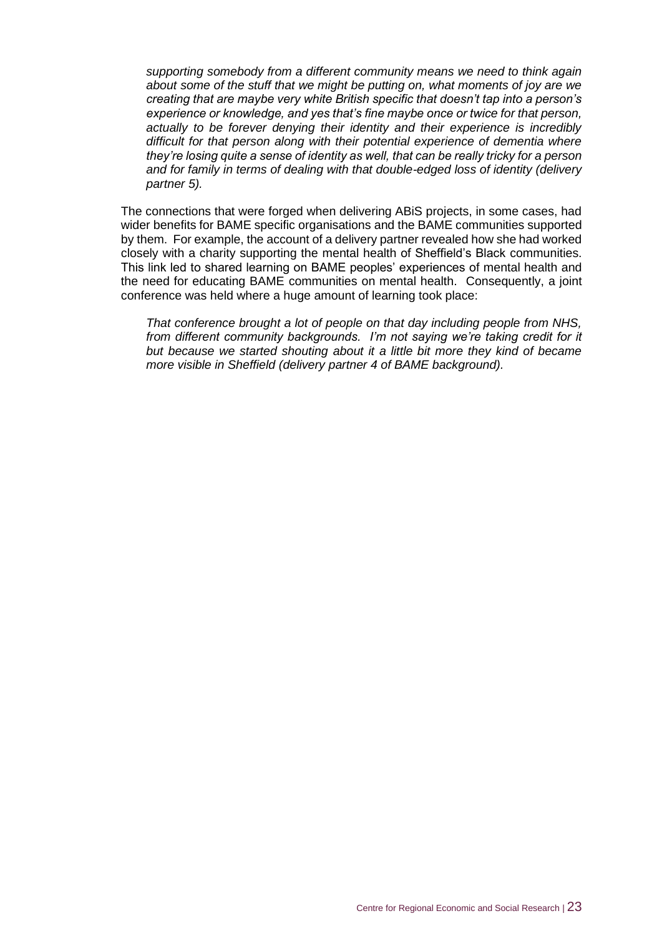*supporting somebody from a different community means we need to think again about some of the stuff that we might be putting on, what moments of joy are we creating that are maybe very white British specific that doesn't tap into a person's experience or knowledge, and yes that's fine maybe once or twice for that person, actually to be forever denying their identity and their experience is incredibly difficult for that person along with their potential experience of dementia where they're losing quite a sense of identity as well, that can be really tricky for a person and for family in terms of dealing with that double-edged loss of identity (delivery partner 5).*

The connections that were forged when delivering ABiS projects, in some cases, had wider benefits for BAME specific organisations and the BAME communities supported by them. For example, the account of a delivery partner revealed how she had worked closely with a charity supporting the mental health of Sheffield's Black communities. This link led to shared learning on BAME peoples' experiences of mental health and the need for educating BAME communities on mental health. Consequently, a joint conference was held where a huge amount of learning took place:

*That conference brought a lot of people on that day including people from NHS, from different community backgrounds. I'm not saying we're taking credit for it but because we started shouting about it a little bit more they kind of became more visible in Sheffield (delivery partner 4 of BAME background).*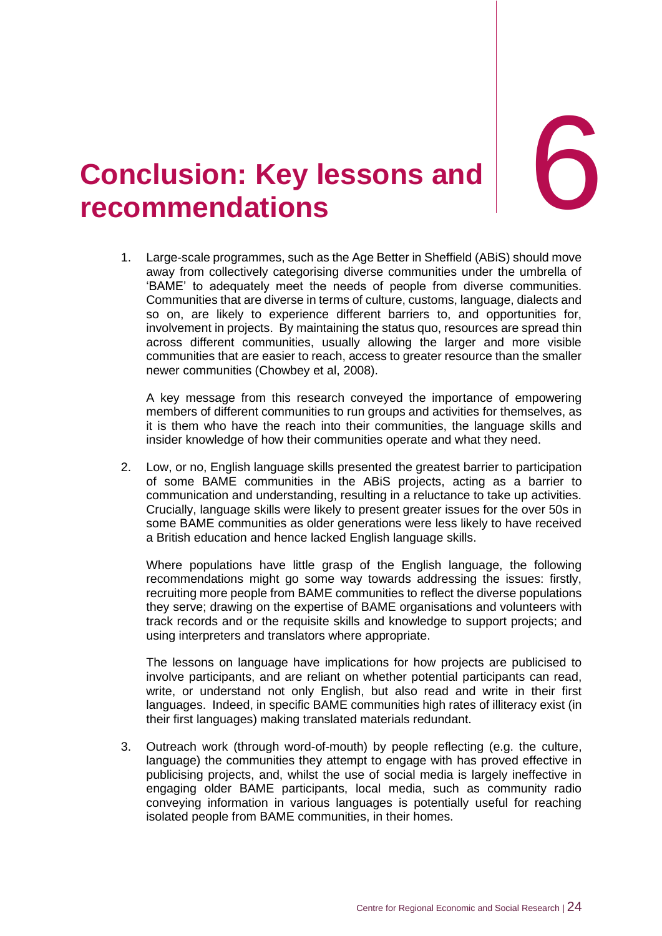

## <span id="page-27-0"></span>6. **Conclusion: recommendations Key lessons and** 6

1. Large-scale programmes, such as the Age Better in Sheffield (ABiS) should move away from collectively categorising diverse communities under the umbrella of 'BAME' to adequately meet the needs of people from diverse communities. Communities that are diverse in terms of culture, customs, language, dialects and so on, are likely to experience different barriers to, and opportunities for, involvement in projects. By maintaining the status quo, resources are spread thin across different communities, usually allowing the larger and more visible communities that are easier to reach, access to greater resource than the smaller newer communities (Chowbey et al, 2008).

A key message from this research conveyed the importance of empowering members of different communities to run groups and activities for themselves, as it is them who have the reach into their communities, the language skills and insider knowledge of how their communities operate and what they need.

2. Low, or no, English language skills presented the greatest barrier to participation of some BAME communities in the ABiS projects, acting as a barrier to communication and understanding, resulting in a reluctance to take up activities. Crucially, language skills were likely to present greater issues for the over 50s in some BAME communities as older generations were less likely to have received a British education and hence lacked English language skills.

Where populations have little grasp of the English language, the following recommendations might go some way towards addressing the issues: firstly, recruiting more people from BAME communities to reflect the diverse populations they serve; drawing on the expertise of BAME organisations and volunteers with track records and or the requisite skills and knowledge to support projects; and using interpreters and translators where appropriate.

The lessons on language have implications for how projects are publicised to involve participants, and are reliant on whether potential participants can read, write, or understand not only English, but also read and write in their first languages. Indeed, in specific BAME communities high rates of illiteracy exist (in their first languages) making translated materials redundant.

3. Outreach work (through word-of-mouth) by people reflecting (e.g. the culture, language) the communities they attempt to engage with has proved effective in publicising projects, and, whilst the use of social media is largely ineffective in engaging older BAME participants, local media, such as community radio conveying information in various languages is potentially useful for reaching isolated people from BAME communities, in their homes.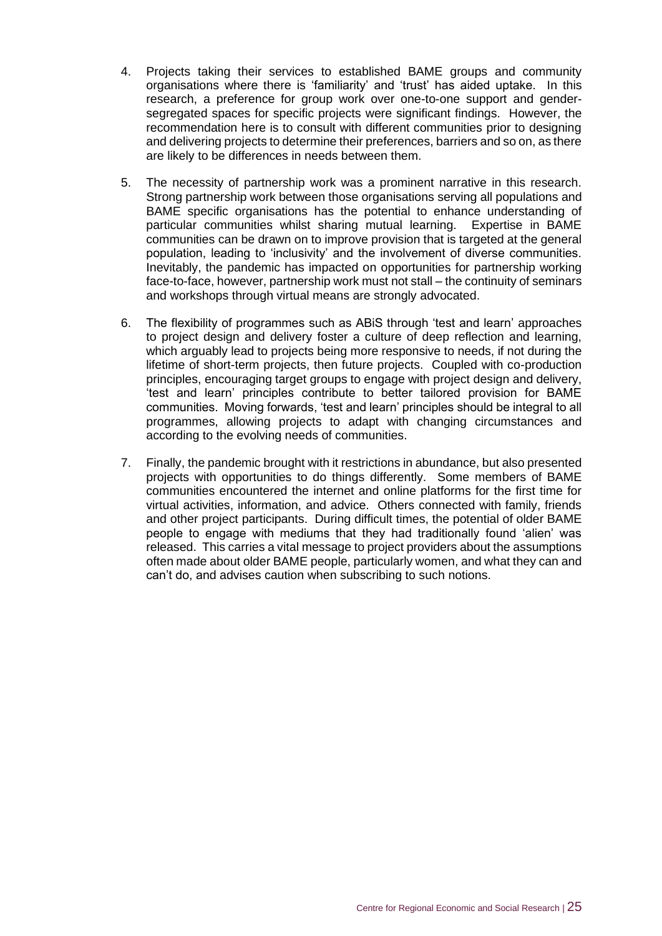- 4. Projects taking their services to established BAME groups and community organisations where there is 'familiarity' and 'trust' has aided uptake. In this research, a preference for group work over one-to-one support and gendersegregated spaces for specific projects were significant findings. However, the recommendation here is to consult with different communities prior to designing and delivering projects to determine their preferences, barriers and so on, as there are likely to be differences in needs between them.
- 5. The necessity of partnership work was a prominent narrative in this research. Strong partnership work between those organisations serving all populations and BAME specific organisations has the potential to enhance understanding of particular communities whilst sharing mutual learning. Expertise in BAME communities can be drawn on to improve provision that is targeted at the general population, leading to 'inclusivity' and the involvement of diverse communities. Inevitably, the pandemic has impacted on opportunities for partnership working face-to-face, however, partnership work must not stall – the continuity of seminars and workshops through virtual means are strongly advocated.
- 6. The flexibility of programmes such as ABiS through 'test and learn' approaches to project design and delivery foster a culture of deep reflection and learning, which arguably lead to projects being more responsive to needs, if not during the lifetime of short-term projects, then future projects. Coupled with co-production principles, encouraging target groups to engage with project design and delivery, 'test and learn' principles contribute to better tailored provision for BAME communities. Moving forwards, 'test and learn' principles should be integral to all programmes, allowing projects to adapt with changing circumstances and according to the evolving needs of communities.
- 7. Finally, the pandemic brought with it restrictions in abundance, but also presented projects with opportunities to do things differently. Some members of BAME communities encountered the internet and online platforms for the first time for virtual activities, information, and advice. Others connected with family, friends and other project participants. During difficult times, the potential of older BAME people to engage with mediums that they had traditionally found 'alien' was released. This carries a vital message to project providers about the assumptions often made about older BAME people, particularly women, and what they can and can't do, and advises caution when subscribing to such notions.